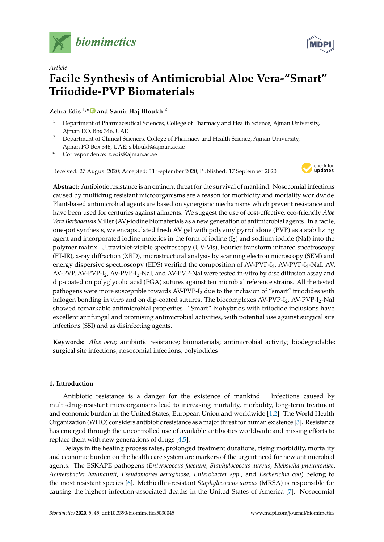

*Article*



# **Facile Synthesis of Antimicrobial Aloe Vera-"Smart" Triiodide-PVP Biomaterials**

**Zehra Edis 1,\* and Samir Haj Bloukh <sup>2</sup>**

- <sup>1</sup> Department of Pharmaceutical Sciences, College of Pharmacy and Health Science, Ajman University, Ajman P.O. Box 346, UAE
- <sup>2</sup> Department of Clinical Sciences, College of Pharmacy and Health Science, Ajman University, Ajman PO Box 346, UAE; s.bloukh@ajman.ac.ae

**\*** Correspondence: z.edis@ajman.ac.ae

Received: 27 August 2020; Accepted: 11 September 2020; Published: 17 September 2020



**Abstract:** Antibiotic resistance is an eminent threat for the survival of mankind. Nosocomial infections caused by multidrug resistant microorganisms are a reason for morbidity and mortality worldwide. Plant-based antimicrobial agents are based on synergistic mechanisms which prevent resistance and have been used for centuries against ailments. We suggest the use of cost-effective, eco-friendly *Aloe Vera Barbadensis* Miller (AV)-iodine biomaterials as a new generation of antimicrobial agents. In a facile, one-pot synthesis, we encapsulated fresh AV gel with polyvinylpyrrolidone (PVP) as a stabilizing agent and incorporated iodine moieties in the form of iodine  $(I_2)$  and sodium iodide (NaI) into the polymer matrix. Ultraviolet-visible spectroscopy (UV-Vis), Fourier transform infrared spectroscopy (FT-IR), x-ray diffraction (XRD), microstructural analysis by scanning electron microscopy (SEM) and energy dispersive spectroscopy (EDS) verified the composition of AV-PVP-I<sub>2</sub>, AV-PVP-I<sub>2</sub>-NaI. AV, AV-PVP, AV-PVP-I<sub>2</sub>, AV-PVP-I<sub>2</sub>-NaI, and AV-PVP-NaI were tested in-vitro by disc diffusion assay and dip-coated on polyglycolic acid (PGA) sutures against ten microbial reference strains. All the tested pathogens were more susceptible towards AV-PVP-I<sup>2</sup> due to the inclusion of "smart" triiodides with halogen bonding in vitro and on dip-coated sutures. The biocomplexes AV-PVP-I<sub>2</sub>, AV-PVP-I<sub>2</sub>-NaI showed remarkable antimicrobial properties. "Smart" biohybrids with triiodide inclusions have excellent antifungal and promising antimicrobial activities, with potential use against surgical site infections (SSI) and as disinfecting agents.

**Keywords:** *Aloe vera*; antibiotic resistance; biomaterials; antimicrobial activity; biodegradable; surgical site infections; nosocomial infections; polyiodides

# **1. Introduction**

Antibiotic resistance is a danger for the existence of mankind. Infections caused by multi-drug-resistant microorganisms lead to increasing mortality, morbidity, long-term treatment and economic burden in the United States, European Union and worldwide [1,2]. The World Health Organization (WHO) considers antibiotic resistance as a major threat for human existence [3]. Resistance has emerged through the uncontrolled use of available antibiotics worldwide and missing efforts to replace them with new generations of drugs [4,5].

Delays in the healing process rates, prolonged treatment durations, rising morbidity, mortality and economic burden on the health care system are markers of the urgent need for new antimicrobial agents. The ESKAPE pathogens (*Enterococcus faecium*, *Staphylococcus aureus*, *Klebsiella pneumoniae*, *Acinetobacter baumannii*, *Pseudomonas aeruginosa*, *Enterobacter spp*., and *Escherichia coli*) belong to the most resistant species [6]. Methicillin-resistant *Staphylococcus aureus* (MRSA) is responsible for causing the highest infection-associated deaths in the United States of America [7]. Nosocomial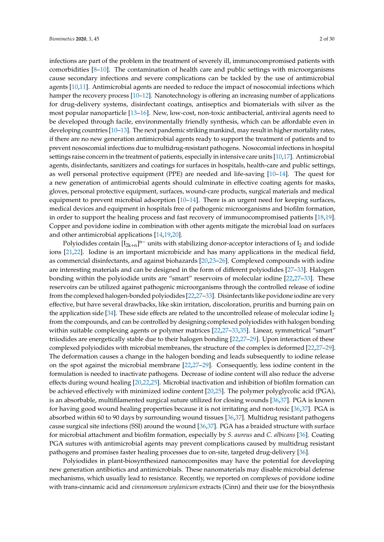infections are part of the problem in the treatment of severely ill, immunocompromised patients with comorbidities [8–10]. The contamination of health care and public settings with microorganisms cause secondary infections and severe complications can be tackled by the use of antimicrobial agents [10,11]. Antimicrobial agents are needed to reduce the impact of nosocomial infections which hamper the recovery process [10–12]. Nanotechnology is offering an increasing number of applications for drug-delivery systems, disinfectant coatings, antiseptics and biomaterials with silver as the most popular nanoparticle [13–16]. New, low-cost, non-toxic antibacterial, antiviral agents need to be developed through facile, environmentally friendly synthesis, which can be affordable even in developing countries [10–13]. The next pandemic striking mankind, may result in higher mortality rates, if there are no new generation antimicrobial agents ready to support the treatment of patients and to prevent nososcomial infections due to multidrug-resistant pathogens. Nosocomial infections in hospital settings raise concern in the treatment of patients, especially in intensive care units [10,17]. Antimicrobial agents, disinfectants, sanitizers and coatings for surfaces in hospitals, health-care and public settings, as well personal protective equipment (PPE) are needed and life-saving [10–14]. The quest for a new generation of antimicrobial agents should culminate in effective coating agents for masks, gloves, personal protective equipment, surfaces, wound-care products, surgical materials and medical equipment to prevent microbial adsorption [10–14]. There is an urgent need for keeping surfaces, medical devices and equipment in hospitals free of pathogenic microorganisms and biofilm formation, in order to support the healing process and fast recovery of immunocompromised patients [18,19]. Copper and povidone iodine in combination with other agents mitigate the microbial load on surfaces and other antimicrobial applications [14,19,20].

Polyiodides contain  $[I_{2k+n}]^{n-}$  units with stabilizing donor-acceptor interactions of  $I_2$  and iodide ions [21,22]. Iodine is an important microbicide and has many applications in the medical field, as commercial disinfectants, and against biohazards [20,23–26]. Complexed compounds with iodine are interesting materials and can be designed in the form of different polyiodides [27–33]. Halogen bonding within the polyiodide units are "smart" reservoirs of molecular iodine [22,27–33]. These reservoirs can be utilized against pathogenic microorganisms through the controlled release of iodine from the complexed halogen-bonded polyiodides [22,27–33]. Disinfectants like povidone iodine are very effective, but have several drawbacks, like skin irritation, discoloration, pruritis and burning pain on the application side [34]. These side effects are related to the uncontrolled release of molecular iodine  $I_2$ from the compounds, and can be controlled by designing complexed polyiodides with halogen bonding within suitable complexing agents or polymer matrices [22,27–33,35]. Linear, symmetrical "smart" triiodides are energetically stable due to their halogen bonding [22,27–29]. Upon interaction of these complexed polyiodides with microbial membranes, the structure of the complex is deformed [22,27–29]. The deformation causes a change in the halogen bonding and leads subsequently to iodine release on the spot against the microbial membrane [22,27–29]. Consequently, less iodine content in the formulation is needed to inactivate pathogens. Decrease of iodine content will also reduce the adverse effects during wound healing [20,22,25]. Microbial inactivation and inhibition of biofilm formation can be achieved effectively with minimized iodine content [20,25]. The polymer polyglycolic acid (PGA), is an absorbable, multifilamented surgical suture utilized for closing wounds [36,37]. PGA is known for having good wound healing properties because it is not irritating and non-toxic [36,37]. PGA is absorbed within 60 to 90 days by surrounding wound tissues [36,37]. Multidrug resistant pathogens cause surgical site infections (SSI) around the wound [36,37]. PGA has a braided structure with surface for microbial attachment and biofilm formation, especially by *S. aureus* and *C. albicans* [36]. Coating PGA sutures with antimicrobial agents may prevent complications caused by multidrug resistant pathogens and promises faster healing processes due to on-site, targeted drug-delivery [36].

Polyiodides in plant-biosynthesized nanocomposites may have the potential for developing new generation antibiotics and antimicrobials. These nanomaterials may disable microbial defense mechanisms, which usually lead to resistance. Recently, we reported on complexes of povidone iodine with trans-cinnamic acid and *cinnamomum zeylanicum* extracts (Cinn) and their use for the biosynthesis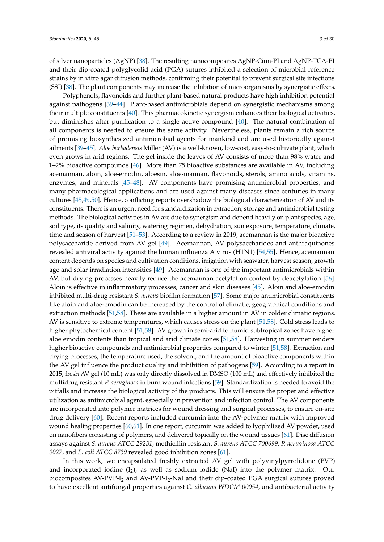of silver nanoparticles (AgNP) [38]. The resulting nanocomposites AgNP-Cinn-PI and AgNP-TCA-PI and their dip-coated polyglycolid acid (PGA) sutures inhibited a selection of microbial reference strains by in vitro agar diffusion methods, confirming their potential to prevent surgical site infections (SSI) [38]. The plant components may increase the inhibition of microorganisms by synergistic effects.

Polyphenols, flavonoids and further plant-based natural products have high inhibition potential against pathogens [39–44]. Plant-based antimicrobials depend on synergistic mechanisms among their multiple constituents [40]. This pharmacokinetic synergism enhances their biological activities, but diminishes after purification to a single active compound [40]. The natural combination of all components is needed to ensure the same activity. Nevertheless, plants remain a rich source of promising biosynthesized antimicrobial agents for mankind and are used historically against ailments [39–45]. *Aloe barbadensis* Miller (AV) is a well-known, low-cost, easy-to-cultivate plant, which even grows in arid regions. The gel inside the leaves of AV consists of more than 98% water and 1–2% bioactive compounds [46]. More than 75 bioactive substances are available in AV, including acemannan, aloin, aloe-emodin, aloesin, aloe-mannan, flavonoids, sterols, amino acids, vitamins, enzymes, and minerals [45–48]. AV components have promising antimicrobial properties, and many pharmacological applications and are used against many diseases since centuries in many cultures [45,49,50]. Hence, conflicting reports overshadow the biological characterization of AV and its constituents. There is an urgent need for standardization in extraction, storage and antimicrobial testing methods. The biological activities in AV are due to synergism and depend heavily on plant species, age, soil type, its quality and salinity, watering regimen, dehydration, sun exposure, temperature, climate, time and season of harvest [51–53]. According to a review in 2019, acemannan is the major bioactive polysaccharide derived from AV gel [49]. Acemannan, AV polysaccharides and anthraquinones revealed antiviral activity against the human influenza A virus (H1N1) [54,55]. Hence, acemannan content depends on species and cultivation conditions, irrigation with seawater, harvest season, growth age and solar irradiation intensities [49]. Acemannan is one of the important antimicrobials within AV, but drying processes heavily reduce the acemannan acetylation content by deacetylation [56]. Aloin is effective in inflammatory processes, cancer and skin diseases [45]. Aloin and aloe-emodin inhibited multi-drug resistant *S. aureus* biofilm formation [57]. Some major antimicrobial constituents like aloin and aloe-emodin can be increased by the control of climatic, geographical conditions and extraction methods [51,58]. These are available in a higher amount in AV in colder climatic regions. AV is sensitive to extreme temperatures, which causes stress on the plant [51,58]. Cold stress leads to higher phytochemical content [51,58]. AV grown in semi-arid to humid subtropical zones have higher aloe emodin contents than tropical and arid climate zones [51,58]. Harvesting in summer renders higher bioactive compounds and antimicrobial properties compared to winter [51,58]. Extraction and drying processes, the temperature used, the solvent, and the amount of bioactive components within the AV gel influence the product quality and inhibition of pathogens [59]. According to a report in 2015, fresh AV gel (10 mL) was only directly dissolved in DMSO (100 mL) and effectively inhibited the multidrug resistant *P. aeruginosa* in burn wound infections [59]. Standardization is needed to avoid the pitfalls and increase the biological activity of the products. This will ensure the proper and effective utilization as antimicrobial agent, especially in prevention and infection control. The AV components are incorporated into polymer matrices for wound dressing and surgical processes, to ensure on-site drug delivery [60]. Recent reports included curcumin into the AV-polymer matrix with improved wound healing properties [60,61]. In one report, curcumin was added to lyophilized AV powder, used on nanofibers consisting of polymers, and delivered topically on the wound tissues [61]. Disc diffusion assays against *S. aureus ATCC 29231*, methicillin resistant *S. aureus ATCC 700699*, *P. aeruginosa ATCC 9027*, and *E. coli ATCC 8739* revealed good inhibition zones [61].

In this work, we encapsulated freshly extracted AV gel with polyvinylpyrrolidone (PVP) and incorporated iodine  $(I_2)$ , as well as sodium iodide (NaI) into the polymer matrix. Our biocomposites AV-PVP-I<sub>2</sub> and AV-PVP-I<sub>2</sub>-NaI and their dip-coated PGA surgical sutures proved to have excellent antifungal properties against *C. albicans WDCM 00054*, and antibacterial activity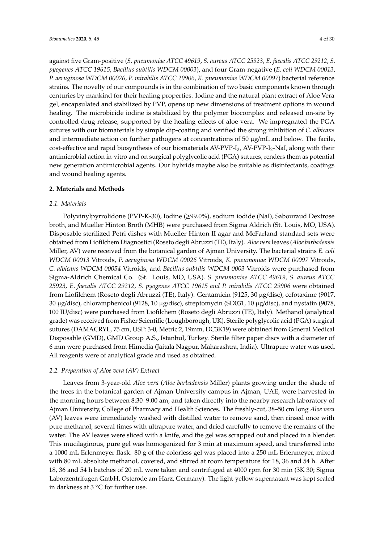against five Gram-positive (*S. pneumoniae ATCC 49619*, *S. aureus ATCC 25923*, *E. faecalis ATCC 29212*, *S. pyogenes ATCC 19615*, *Bacillus subtilis WDCM 00003*), and four Gram-negative (*E. coli WDCM 00013*, *P. aeruginosa WDCM 00026*, *P. mirabilis ATCC 29906*, *K. pneumoniae WDCM 00097*) bacterial reference strains. The novelty of our compounds is in the combination of two basic components known through centuries by mankind for their healing properties. Iodine and the natural plant extract of Aloe Vera gel, encapsulated and stabilized by PVP, opens up new dimensions of treatment options in wound healing. The microbicide iodine is stabilized by the polymer biocomplex and released on-site by controlled drug-release, supported by the healing effects of aloe vera. We impregnated the PGA sutures with our biomaterials by simple dip-coating and verified the strong inhibition of *C. albicans* and intermediate action on further pathogens at concentrations of 50  $\mu$ g/mL and below. The facile, cost-effective and rapid biosynthesis of our biomaterials AV-PVP-I<sub>2</sub>, AV-PVP-I<sub>2</sub>-NaI, along with their antimicrobial action in-vitro and on surgical polyglycolic acid (PGA) sutures, renders them as potential new generation antimicrobial agents. Our hybrids maybe also be suitable as disinfectants, coatings and wound healing agents.

#### **2. Materials and Methods**

#### *2.1. Materials*

Polyvinylpyrrolidone (PVP-K-30), Iodine (≥99.0%), sodium iodide (NaI), Sabouraud Dextrose broth, and Mueller Hinton Broth (MHB) were purchased from Sigma Aldrich (St. Louis, MO, USA). Disposable sterilized Petri dishes with Mueller Hinton II agar and McFarland standard sets were obtained from Liofilchem Diagnostici (Roseto degli Abruzzi (TE), Italy). *Aloe vera* leaves (*Aloe barbadensis* Miller, AV) were received from the botanical garden of Ajman University. The bacterial strains *E. coli WDCM 00013* Vitroids, *P. aeruginosa WDCM 00026* Vitroids, *K. pneumoniae WDCM 00097* Vitroids, *C. albicans WDCM 00054* Vitroids, and *Bacillus subtilis WDCM 0003* Vitroids were purchased from Sigma-Aldrich Chemical Co. (St. Louis, MO, USA). *S. pneumoniae ATCC 49619*, *S. aureus ATCC 25923, E. faecalis ATCC 29212, S. pyogenes ATCC 19615 and P. mirabilis ATCC 29906* were obtained from Liofilchem (Roseto degli Abruzzi (TE), Italy). Gentamicin (9125, 30 µg/disc), cefotaxime (9017, 30 µg/disc), chloramphenicol (9128, 10 µg/disc), streptomycin (SD031, 10 µg/disc), and nystatin (9078, 100 IU/disc) were purchased from Liofilchem (Roseto degli Abruzzi (TE), Italy). Methanol (analytical grade) was received from Fisher Scientific (Loughborough, UK). Sterile polyglycolic acid (PGA) surgical sutures (DAMACRYL, 75 cm, USP: 3-0, Metric:2, 19mm, DC3K19) were obtained from General Medical Disposable (GMD), GMD Group A.S., Istanbul, Turkey. Sterile filter paper discs with a diameter of 6 mm were purchased from Himedia (Jaitala Nagpur, Maharashtra, India). Ultrapure water was used. All reagents were of analytical grade and used as obtained.

## *2.2. Preparation of Aloe vera (AV) Extract*

Leaves from 3-year-old *Aloe vera* (*Aloe barbadensis* Miller) plants growing under the shade of the trees in the botanical garden of Ajman University campus in Ajman, UAE, were harvested in the morning hours between 8:30–9:00 am, and taken directly into the nearby research laboratory of Ajman University, College of Pharmacy and Health Sciences. The freshly-cut, 38–50 cm long *Aloe vera* (AV) leaves were immediately washed with distilled water to remove sand, then rinsed once with pure methanol, several times with ultrapure water, and dried carefully to remove the remains of the water. The AV leaves were sliced with a knife, and the gel was scrapped out and placed in a blender. This mucilaginous, pure gel was homogenized for 3 min at maximum speed, and transferred into a 1000 mL Erlenmeyer flask. 80 g of the colorless gel was placed into a 250 mL Erlenmeyer, mixed with 80 mL absolute methanol, covered, and stirred at room temperature for 18, 36 and 54 h. After 18, 36 and 54 h batches of 20 mL were taken and centrifuged at 4000 rpm for 30 min (3K 30; Sigma Laborzentrifugen GmbH, Osterode am Harz, Germany). The light-yellow supernatant was kept sealed in darkness at 3  $^{\circ} \text{C}$  for further use.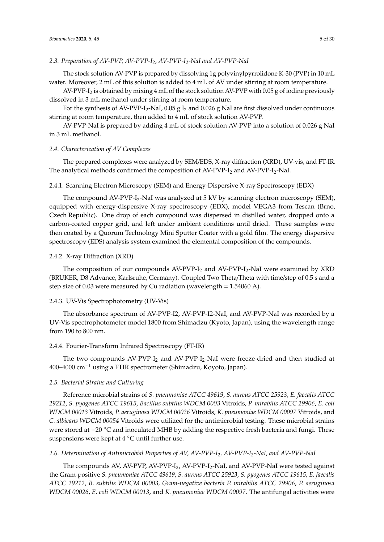## *2.3. Preparation of AV-PVP, AV-PVP-I2, AV-PVP-I2-NaI and AV-PVP-NaI*

The stock solution AV-PVP is prepared by dissolving 1g polyvinylpyrrolidone K-30 (PVP) in 10 mL water. Moreover, 2 mL of this solution is added to 4 mL of AV under stirring at room temperature.

AV-PVP-I<sup>2</sup> is obtained by mixing 4 mL of the stock solution AV-PVP with 0.05 g of iodine previously dissolved in 3 mL methanol under stirring at room temperature.

For the synthesis of AV-PVP-I<sub>2</sub>-NaI,  $0.05$  g I<sub>2</sub> and  $0.026$  g NaI are first dissolved under continuous stirring at room temperature, then added to 4 mL of stock solution AV-PVP.

AV-PVP-NaI is prepared by adding 4 mL of stock solution AV-PVP into a solution of 0.026 g NaI in 3 mL methanol.

#### *2.4. Characterization of AV Complexes*

The prepared complexes were analyzed by SEM/EDS, X-ray diffraction (XRD), UV-vis, and FT-IR. The analytical methods confirmed the composition of  $AV-PVP-I_2$  and  $AV-PVP-I_2-NaI$ .

## 2.4.1. Scanning Electron Microscopy (SEM) and Energy-Dispersive X-ray Spectroscopy (EDX)

The compound AV-PVP-I<sub>2</sub>-NaI was analyzed at 5 kV by scanning electron microscopy (SEM), equipped with energy-dispersive X-ray spectroscopy (EDX), model VEGA3 from Tescan (Brno, Czech Republic). One drop of each compound was dispersed in distilled water, dropped onto a carbon-coated copper grid, and left under ambient conditions until dried. These samples were then coated by a Quorum Technology Mini Sputter Coater with a gold film. The energy dispersive spectroscopy (EDS) analysis system examined the elemental composition of the compounds.

## 2.4.2. X-ray Diffraction (XRD)

The composition of our compounds AV-PVP-I<sup>2</sup> and AV-PVP-I2-NaI were examined by XRD (BRUKER, D8 Advance, Karlsruhe, Germany). Coupled Two Theta/Theta with time/step of 0.5 s and a step size of 0.03 were measured by Cu radiation (wavelength = 1.54060 A).

#### 2.4.3. UV-Vis Spectrophotometry (UV-Vis)

The absorbance spectrum of AV-PVP-I2, AV-PVP-I2-NaI, and AV-PVP-NaI was recorded by a UV-Vis spectrophotometer model 1800 from Shimadzu (Kyoto, Japan), using the wavelength range from 190 to 800 nm.

#### 2.4.4. Fourier-Transform Infrared Spectroscopy (FT-IR)

The two compounds  $AV-PVP-I_2$  and  $AV-PVP-I_2-NaI$  were freeze-dried and then studied at 400–4000 cm−<sup>1</sup> using a FTIR spectrometer (Shimadzu, Koyoto, Japan).

## *2.5. Bacterial Strains and Culturing*

Reference microbial strains of *S. pneumoniae ATCC 49619*, *S. aureus ATCC 25923*, *E. faecalis ATCC 29212*, *S. pyogenes ATCC 19615*, *Bacillus subtilis WDCM 0003* Vitroids, *P. mirabilis ATCC 29906*, *E. coli WDCM 00013* Vitroids, *P. aeruginosa WDCM 00026* Vitroids, *K. pneumoniae WDCM 00097* Vitroids, and *C. albicans WDCM 00054* Vitroids were utilized for the antimicrobial testing. These microbial strains were stored at −20 °C and inoculated MHB by adding the respective fresh bacteria and fungi. These suspensions were kept at  $4 °C$  until further use.

# *2.6. Determination of Antimicrobial Properties of AV, AV-PVP-I2, AV-PVP-I2-NaI, and AV-PVP-NaI*

The compounds AV, AV-PVP, AV-PVP-I<sub>2</sub>, AV-PVP-I<sub>2</sub>-NaI, and AV-PVP-NaI were tested against the Gram-positive *S. pneumoniae ATCC 49619*, *S. aureus ATCC 25923*, *S. pyogenes ATCC 19615*, *E. faecalis ATCC 29212*, *B. subtilis WDCM 00003*, *Gram-negative bacteria P. mirabilis ATCC 29906*, *P. aeruginosa WDCM 00026*, *E. coli WDCM 00013*, and *K. pneumoniae WDCM 00097*. The antifungal activities were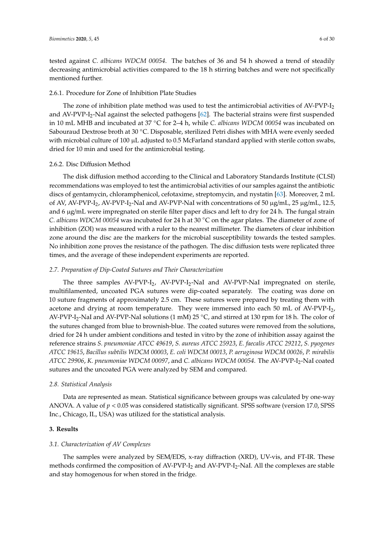tested against *C. albicans WDCM 00054*. The batches of 36 and 54 h showed a trend of steadily decreasing antimicrobial activities compared to the 18 h stirring batches and were not specifically mentioned further.

#### 2.6.1. Procedure for Zone of Inhibition Plate Studies

The zone of inhibition plate method was used to test the antimicrobial activities of AV-PVP-I<sub>2</sub> and  $AV-PVP-I_2-NaI$  against the selected pathogens [62]. The bacterial strains were first suspended in 10 mL MHB and incubated at 37 ◦C for 2–4 h, while *C. albicans WDCM 00054* was incubated on Sabouraud Dextrose broth at 30 ◦C. Disposable, sterilized Petri dishes with MHA were evenly seeded with microbial culture of 100 µL adjusted to 0.5 McFarland standard applied with sterile cotton swabs, dried for 10 min and used for the antimicrobial testing.

## 2.6.2. Disc Diffusion Method

The disk diffusion method according to the Clinical and Laboratory Standards Institute (CLSI) recommendations was employed to test the antimicrobial activities of our samples against the antibiotic discs of gentamycin, chloramphenicol, cefotaxime, streptomycin, and nystatin [63]. Moreover, 2 mL of AV, AV-PVP-I<sub>2</sub>, AV-PVP-I<sub>2</sub>-NaI and AV-PVP-NaI with concentrations of 50  $\mu$ g/mL, 25  $\mu$ g/mL, 12.5, and 6 µg/mL were impregnated on sterile filter paper discs and left to dry for 24 h. The fungal strain *C. albicans WDCM 00054* was incubated for 24 h at 30 ◦C on the agar plates. The diameter of zone of inhibition (ZOI) was measured with a ruler to the nearest millimeter. The diameters of clear inhibition zone around the disc are the markers for the microbial susceptibility towards the tested samples. No inhibition zone proves the resistance of the pathogen. The disc diffusion tests were replicated three times, and the average of these independent experiments are reported.

## *2.7. Preparation of Dip-Coated Sutures and Their Characterization*

The three samples AV-PVP-I<sub>2</sub>, AV-PVP-I<sub>2</sub>-NaI and AV-PVP-NaI impregnated on sterile, multifilamented, uncoated PGA sutures were dip-coated separately. The coating was done on 10 suture fragments of approximately 2.5 cm. These sutures were prepared by treating them with acetone and drying at room temperature. They were immersed into each 50 mL of  $AV-PVP-I<sub>2</sub>$ , AV-PVP-I2-NaI and AV-PVP-NaI solutions (1 mM) 25 ◦C, and stirred at 130 rpm for 18 h. The color of the sutures changed from blue to brownish-blue. The coated sutures were removed from the solutions, dried for 24 h under ambient conditions and tested in vitro by the zone of inhibition assay against the reference strains *S. pneumoniae ATCC 49619*, *S. aureus ATCC 25923*, *E. faecalis ATCC 29212*, *S. pyogenes ATCC 19615*, *Bacillus subtilis WDCM 00003*, *E. coli WDCM 00013*, *P. aeruginosa WDCM 00026*, *P. mirabilis ATCC 29906, K. pneumoniae WDCM 00097,* and *C. albicans WDCM 00054*. The AV-PVP-I<sub>2</sub>-NaI coated sutures and the uncoated PGA were analyzed by SEM and compared.

## *2.8. Statistical Analysis*

Data are represented as mean. Statistical significance between groups was calculated by one-way ANOVA. A value of *p* < 0.05 was considered statistically significant. SPSS software (version 17.0, SPSS Inc., Chicago, IL, USA) was utilized for the statistical analysis.

#### **3. Results**

## *3.1. Characterization of AV Complexes*

The samples were analyzed by SEM/EDS, x-ray diffraction (XRD), UV-vis, and FT-IR. These methods confirmed the composition of  $AV-PVP-I_2$  and  $AV-PVP-I_2-NaI$ . All the complexes are stable and stay homogenous for when stored in the fridge.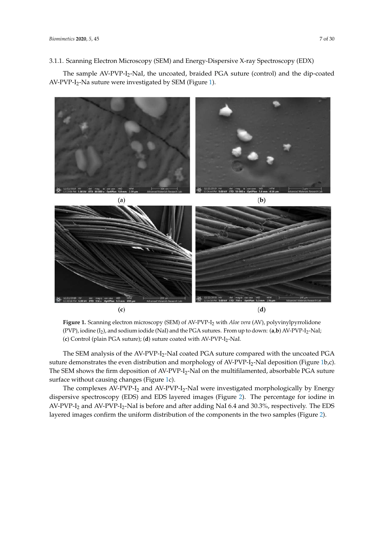3.1.1. Scanning Electron Microscopy (SEM) and Energy-Dispersive X-ray Spectroscopy (EDX)

The sample AV-PVP-I<sub>2</sub>-NaI, the uncoated, braided PGA suture (control) and the dip-coated AV-PVP-I<sub>2</sub>-Na suture were investigated by SEM (Figure 1).



**Figure 1.** Scanning electron microscopy (SEM) of AV-PVP-I<sup>2</sup> with *Aloe vera* (AV), polyvinylpyrrolidone (PVP), iodine (I<sup>2</sup> ), and sodium iodide (NaI) and the PGA sutures. From up to down: (**a**,**b**) AV-PVP-I<sup>2</sup> -NaI; (c) Control (plain PGA suture); (**d**) suture coated with AV-PVP-I<sub>2</sub>-NaI.

The SEM analysis of the AV-PVP-I<sub>2</sub>-NaI coated PGA suture compared with the uncoated PGA suture demonstrates the even distribution and morphology of AV-PVP-I<sub>2</sub>-NaI deposition (Figure 1b,c). The SEM shows the firm deposition of AV-PVP-I<sub>2</sub>-NaI on the multifilamented, absorbable PGA suture surface without causing changes (Figure 1c).

The complexes AV-PVP-I<sub>2</sub> and AV-PVP-I<sub>2</sub>-NaI were investigated morphologically by Energy dispersive spectroscopy (EDS) and EDS layered images (Figure 2). The percentage for iodine in AV-PVP-I<sub>2</sub> and AV-PVP-I<sub>2</sub>-NaI is before and after adding NaI 6.4 and 30.3%, respectively. The EDS layered images confirm the uniform distribution of the components in the two samples (Figure 2).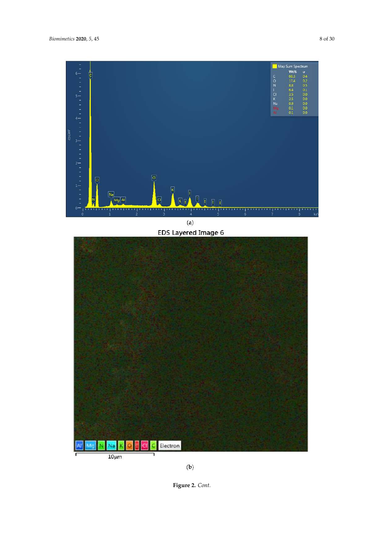

 $(a)$ 



**Figure 2.** *Cont.*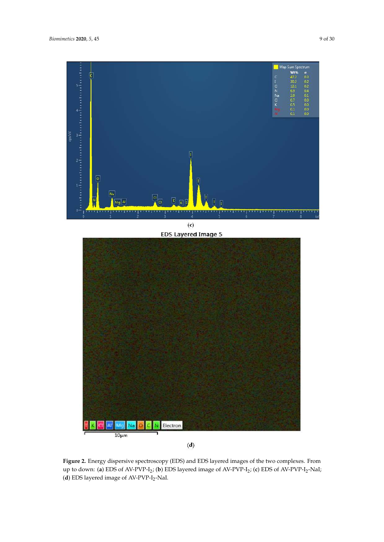

**EDS Layered Image 5** 



 $(\mathbf{d})$ 

**Figure 2.** Energy dispersive spectroscopy (EDS) and EDS layered images of the two complexes. From up to down: (**a**) EDS of AV-PVP-I<sub>2</sub>; (**b**) EDS layered image of AV-PVP-I<sub>2</sub>; (**c**) EDS of AV-PVP-I<sub>2</sub>-NaI;  $(d)$  EDS layered image of AV-PVP- $I_2$ -NaI.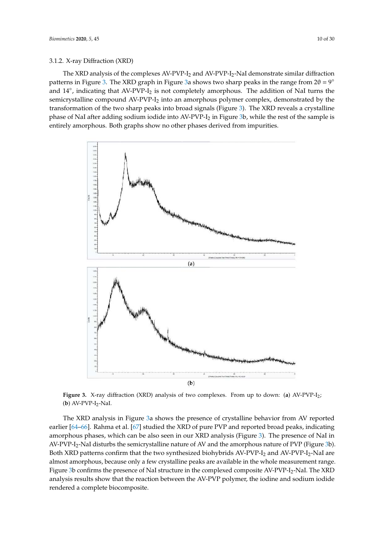#### 3.1.2. X-ray Diffraction (XRD)

The XRD analysis of the complexes AV-PVP-I<sub>2</sub> and AV-PVP-I<sub>2</sub>-NaI demonstrate similar diffraction patterns in Figure 3. The XRD graph in Figure 3a shows two sharp peaks in the range from  $2\theta = 9^{\circ}$ and  $14^{\circ}$ , indicating that AV-PVP-I<sub>2</sub> is not completely amorphous. The addition of NaI turns the semicrystalline compound AV-PVP-I<sup>2</sup> into an amorphous polymer complex, demonstrated by the transformation of the two sharp peaks into broad signals (Figure 3). The XRD reveals a crystalline phase of NaI after adding sodium iodide into AV-PVP-I<sup>2</sup> in Figure 3b, while the rest of the sample is entirely amorphous. Both graphs show no other phases derived from impurities.



Figure 3. X-ray diffraction (XRD) analysis of two complexes. From up to down: (a) AV-PVP-I<sub>2</sub>; (**b**) AV-PVP-I<sub>2</sub>-NaI.

The XRD analysis in Figure 3a shows the presence of crystalline behavior from AV reported earlier [64–66]. Rahma et al. [67] studied the XRD of pure PVP and reported broad peaks, indicating amorphous phases, which can be also seen in our XRD analysis (Figure 3). The presence of NaI in AV-PVP-I2-NaI disturbs the semicrystalline nature of AV and the amorphous nature of PVP (Figure 3b). Both XRD patterns confirm that the two synthesized biohybrids AV-PVP-I<sub>2</sub> and AV-PVP-I<sub>2</sub>-NaI are almost amorphous, because only a few crystalline peaks are available in the whole measurement range. Figure 3b confirms the presence of NaI structure in the complexed composite AV-PVP-I<sub>2</sub>-NaI. The XRD analysis results show that the reaction between the AV-PVP polymer, the iodine and sodium iodide rendered a complete biocomposite.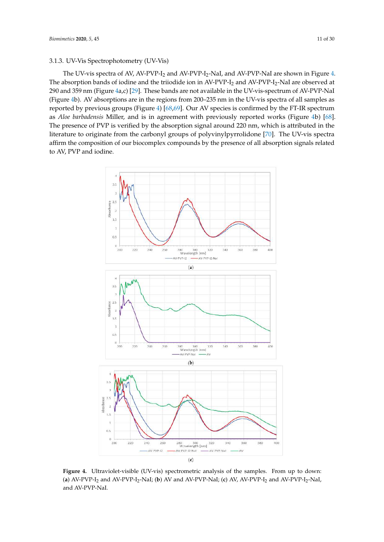#### 3.1.3. UV-Vis Spectrophotometry (UV-Vis)

The UV-vis spectra of AV, AV-PVP-I<sub>2</sub> and AV-PVP-I<sub>2</sub>-NaI, and AV-PVP-NaI are shown in Figure 4. The absorption bands of iodine and the triiodide ion in AV-PVP-I<sub>2</sub> and AV-PVP-I<sub>2</sub>-NaI are observed at 290 and 359 nm (Figure 4a,c) [29]. These bands are not available in the UV-vis-spectrum of AV-PVP-NaI (Figure 4b). AV absorptions are in the regions from 200–235 nm in the UV-vis spectra of all samples as reported by previous groups (Figure 4) [68,69]. Our AV species is confirmed by the FT-IR spectrum as *Aloe barbadensis* Miller, and is in agreement with previously reported works (Figure 4b) [68]. The presence of PVP is verified by the absorption signal around 220 nm, which is attributed in the literature to originate from the carbonyl groups of polyvinylpyrrolidone [70]. The UV-vis spectra affirm the composition of our biocomplex compounds by the presence of all absorption signals related to AV, PVP and iodine.



**Figure 4.** Ultraviolet-visible (UV-vis) spectrometric analysis of the samples. From up to down: (a)  $AV-PVP-I_2$  and  $AV-PVP-I_2-Nal$ ; (b)  $AV$  and  $AV-PVP-Nal$ ; (c)  $AV$ ,  $AV-PVP-I_2$  and  $AV-PVP-I_2-Nal$ , and AV-PVP-NaI.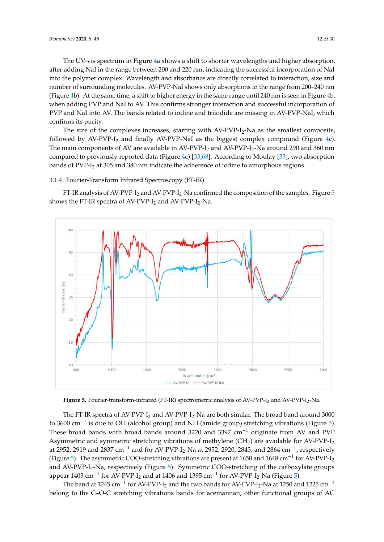The UV-vis spectrum in Figure 4a shows a shift to shorter wavelengths and higher absorption, after adding NaI in the range between 200 and 220 nm, indicating the successful incorporation of NaI into the polymer complex. Wavelength and absorbance are directly correlated to interaction, size and number of surrounding molecules. AV-PVP-NaI shows only absorptions in the range from 200–240 nm (Figure 4b). At the same time, a shift to higher energy in the same range until 240 nm is seen in Figure 4b, when adding PVP and NaI to AV. This confirms stronger interaction and successful incorporation of PVP and NaI into AV. The bands related to iodine and triiodide are missing in AV-PVP-NaI, which confirms its purity.

The size of the complexes increases, starting with AV-PVP-I<sub>2</sub>-Na as the smallest composite, followed by AV-PVP- $I_2$  and finally AV-PVP-NaI as the biggest complex compound (Figure 4c). The main components of AV are available in AV-PVP-I<sub>2</sub> and AV-PVP-I<sub>2</sub>-Na around 290 and 360 nm compared to previously reported data (Figure 4c) [33,68]. According to Moulay [33], two absorption bands of PVP-I<sup>2</sup> at 305 and 380 nm indicate the adherence of iodine to amorphous regions.

## 3.1.4. Fourier-Transform Infrared Spectroscopy (FT-IR)

FT-IR analysis of AV-PVP-I<sub>2</sub> and AV-PVP-I<sub>2</sub>-Na confirmed the composition of the samples. Figure  $5$ shows the FT-IR spectra of AV-PVP- $I_2$  and AV-PVP- $I_2$ -Na.



**Figure 5.** Fourier-transform-infrared (FT-IR) spectrometric analysis of AV-PVP-I<sub>2</sub> and AV-PVP-I<sub>2</sub>-Na.

The FT-IR spectra of AV-PVP-I<sub>2</sub> and AV-PVP-I<sub>2</sub>-Na are both similar. The broad band around 3000 to 3600 cm<sup>-1</sup> is due to OH (alcohol group) and NH (amide group) stretching vibrations (Figure 5). These broad bands with broad bands around 3220 and 3397 cm−<sup>1</sup> originate from AV and PVP. Asymmetric and symmetric stretching vibrations of methylene  $(CH_2)$  are available for AV-PVP-I<sub>2</sub> at 2952, 2919 and 2837  $\rm cm^{-1}$  and for AV-PVP-I<sub>2</sub>-Na at 2952, 2920, 2843, and 2864  $\rm cm^{-1}$ , respectively (Figure 5). The asymmetric COO-stretching vibrations are present at 1650 and 1648 cm<sup>-1</sup> for AV-PVP-I<sub>2</sub> and AV-PVP-I<sub>2</sub>-Na, respectively (Figure 5). Symmetric COO-stretching of the carboxylate groups appear 1403 cm<sup>-1</sup> for AV-PVP-I<sub>2</sub> and at 1406 and 1395 cm<sup>-1</sup> for AV-PVP-I<sub>2</sub>-Na (Figure 5).

The band at 1245 cm<sup>-1</sup> for AV-PVP-I<sub>2</sub> and the two bands for AV-PVP-I<sub>2</sub>-Na at 1250 and 1225 cm<sup>-1</sup> belong to the C–O-C stretching vibrations bands for acemannan, other functional groups of AC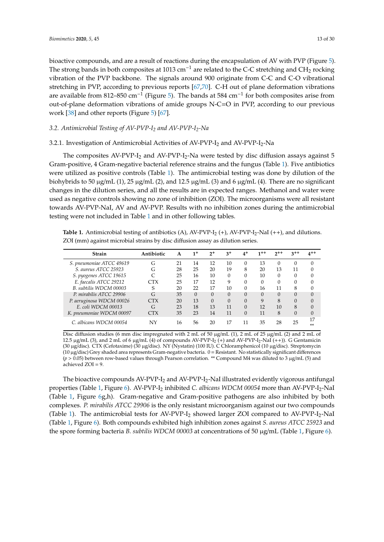bioactive compounds, and are a result of reactions during the encapsulation of AV with PVP (Figure 5). The strong bands in both composites at 1013 cm<sup>-1</sup> are related to the C-C stretching and CH<sub>2</sub> rocking vibration of the PVP backbone. The signals around 900 originate from C-C and C-O vibrational stretching in PVP, according to previous reports [67,70]. C-H out of plane deformation vibrations are available from 812–850 cm<sup>-1</sup> (Figure 5). The bands at 584 cm<sup>-1</sup> for both composites arise from out-of-plane deformation vibrations of amide groups N-C=O in PVP, according to our previous work [38] and other reports (Figure 5) [67].

# *3.2. Antimicrobial Testing of AV-PVP-I<sup>2</sup> and AV-PVP-I2-Na*

# 3.2.1. Investigation of Antimicrobial Activities of AV-PVP-I<sub>2</sub> and AV-PVP-I<sub>2</sub>-Na

The composites  $AV-PVP-I_2$  and  $AV-PVP-I_2-Na$  were tested by disc diffusion assays against 5 Gram-positive, 4 Gram-negative bacterial reference strains and the fungus (Table 1). Five antibiotics were utilized as positive controls (Table 1). The antimicrobial testing was done by dilution of the biohybrids to 50  $\mu$ g/mL (1), 25  $\mu$ g/mL (2), and 12.5  $\mu$ g/mL (3) and 6  $\mu$ g/mL (4). There are no significant changes in the dilution series, and all the results are in expected ranges. Methanol and water were used as negative controls showing no zone of inhibition (ZOI). The microorganisms were all resistant towards AV-PVP-NaI, AV and AV-PVP. Results with no inhibition zones during the antimicrobial testing were not included in Table 1 and in other following tables.

**Table 1.** Antimicrobial testing of antibiotics (A),  $AV-PVP-I_2$  (+),  $AV-PVP-I_2-NaI$  (++), and dilutions. ZOI (mm) against microbial strains by disc diffusion assay as dilution series.

| <b>Strain</b>            | Antibiotic | A  | $1^+$    | $2^+$    | $3^+$    | $4^+$    | $1^{++}$ | $2^{++}$ | $3^{++}$ | $4^{++}$          |
|--------------------------|------------|----|----------|----------|----------|----------|----------|----------|----------|-------------------|
| S. pneumoniae ATCC 49619 | G          | 21 | 14       | 12       | 10       | $\Omega$ | 13       | 0        | 0        | 0                 |
| S. aureus ATCC 25923     | G          | 28 | 25       | 20       | 19       | 8        | 20       | 13       | 11       |                   |
| S. pyogenes ATCC 19615   | $\subset$  | 25 | 16       | 10       | 0        | 0        | 10       | 0        | 0        |                   |
| E. faecalis ATCC 29212   | CTX        | 25 | 17       | 12       | 9        |          | 0        |          | 0        |                   |
| B. subtilis WDCM 00003   | S          | 20 | 22       | 17       | 10       |          | 16       | 11       | 8        |                   |
| P. mirabilis ATCC 29906  | G          | 35 | $\Omega$ |          | $\Omega$ | $\Omega$ | $\Omega$ |          | 0        | $\Omega$          |
| P. aeruginosa WDCM 00026 | <b>CTX</b> | 20 | 13       | $\Omega$ | $\Omega$ | $\Omega$ | 9        | 8        | 0        | $\Omega$          |
| E. coli WDCM 00013       | G          | 23 | 18       | 13       | 11       | $\Omega$ | 12       | 10       | 8        | 0                 |
| K. pneumoniae WDCM 00097 | <b>CTX</b> | 35 | 23       | 14       | 11       | $\Omega$ | 11       | 8        | $\Omega$ | 0                 |
| C. albicans WDCM 00054   | NY         | 16 | 56       | 20       | 17       | 11       | 35       | 28       | 25       | 17<br>$2 - 2 - 3$ |

Disc diffusion studies (6 mm disc impregnated with 2 mL of 50  $\mu$ g/mL (1), 2 mL of 25  $\mu$ g/mL (2) and 2 mL of 12.5 µg/mL (3), and 2 mL of 6 µg/mL (4) of compounds AV-PVP-I<sup>2</sup> (+) and AV-PVP-I2-NaI (++)). G Gentamicin (30 µg/disc). CTX (Cefotaxime) (30 µg/disc). NY (Nystatin) (100 IU). C Chloramphenicol (10 µg/disc). Streptomycin (10 µg/disc) Grey shaded area represents Gram-negative bacteria. 0 = Resistant. No statistically significant differences  $(p > 0.05)$  between row-based values through Pearson correlation. \*\* Compound M4 was diluted to 3 µg/mL (5) and achieved ZOI = 9.

The bioactive compounds AV-PVP-I<sub>2</sub> and AV-PVP-I<sub>2</sub>-NaI illustrated evidently vigorous antifungal properties (Table 1, Figure 6). AV-PVP-I<sub>2</sub> inhibited *C. albicans WDCM 00054* more than AV-PVP-I<sub>2</sub>-NaI (Table 1, Figure 6g,h). Gram-negative and Gram-positive pathogens are also inhibited by both complexes. *P. mirabilis ATCC 29906* is the only resistant microorganism against our two compounds (Table 1). The antimicrobial tests for AV-PVP-I<sub>2</sub> showed larger ZOI compared to AV-PVP-I<sub>2</sub>-NaI (Table 1, Figure 6). Both compounds exhibited high inhibition zones against *S. aureus ATCC 25923* and the spore forming bacteria *B. subtilis WDCM 00003* at concentrations of 50 µg/mL (Table 1, Figure 6).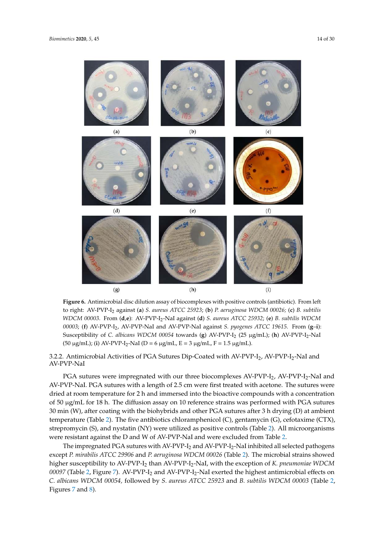

**Figure 6.** Antimicrobial disc dilution assay of biocomplexes with positive controls (antibiotic). From left to right: AV-PVP-I<sup>2</sup> against (**a**) *S. aureus ATCC 25923*; (**b**) *P. aeruginosa WDCM 00026;* (**c**) *B. subtilis WDCM 00003*. From (**d**,**e**): AV-PVP-I<sup>2</sup> -NaI against (**d**) *S. aureus ATCC 25932*; (**e**) *B. subtilis WDCM 00003*; (**f**) AV-PVP-I<sup>2</sup> , AV-PVP-NaI and AV-PVP-NaI against *S. pyogenes ATCC 19615*. From (**g**–**i**): Susceptibility of *C. albicans WDCM* 00054 towards (g) AV-PVP-I<sub>2</sub> (25 µg/mL); (h) AV-PVP-I<sub>2</sub>-Nal (50 μg/mL); (**i**) AV-PVP-I<sub>2</sub>-NaI (D = 6 μg/mL, E = 3 μg/mL, F = 1.5 μg/mL).

3.2.2. Antimicrobial Activities of PGA Sutures Dip-Coated with AV-PVP-I<sub>2</sub>, AV-PVP-I<sub>2</sub>-NaI and AV-PVP-NaI

PGA sutures were impregnated with our three biocomplexes AV-PVP-I<sub>2</sub>, AV-PVP-I<sub>2</sub>-NaI and AV-PVP-NaI. PGA sutures with a length of 2.5 cm were first treated with acetone. The sutures were dried at room temperature for 2 h and immersed into the bioactive compounds with a concentration of 50 µg/mL for 18 h. The diffusion assay on 10 reference strains was performed with PGA sutures 30 min (W), after coating with the biohybrids and other PGA sutures after 3 h drying (D) at ambient temperature (Table 2). The five antibiotics chloramphenicol (C), gentamycin (G), cefotaxime (CTX), strepromycin (S), and nystatin (NY) were utilized as positive controls (Table 2). All microorganisms were resistant against the D and W of AV-PVP-NaI and were excluded from Table 2.

The impregnated PGA sutures with AV-PVP-I<sub>2</sub> and AV-PVP-I<sub>2</sub>-NaI inhibited all selected pathogens except *P. mirabilis ATCC 29906* and *P. aeruginosa WDCM 00026* (Table 2). The microbial strains showed higher susceptibility to AV-PVP-I<sup>2</sup> than AV-PVP-I2-NaI, with the exception of *K. pneumoniae WDCM* 00097 (Table 2, Figure 7). AV-PVP-I<sub>2</sub> and AV-PVP-I<sub>2</sub>-NaI exerted the highest antimicrobial effects on *C. albicans WDCM 00054,* followed by *S. aureus ATCC 25923* and *B. subtilis WDCM 00003* (Table 2, Figures 7 and 8).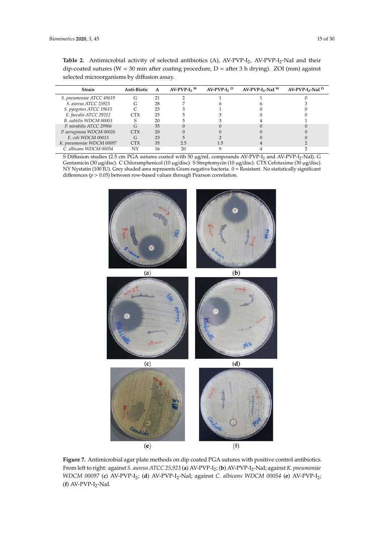**Table 2.** Antimicrobial activity of selected antibiotics (A), AV-PVP-I<sub>2</sub>, AV-PVP-I<sub>2</sub>-NaI and their dip-coated sutures ( $W = 30$  min after coating procedure,  $D =$  after 3 h drying). ZOI (mm) against selected microorganisms by diffusion assay.

| <b>Strain</b>            | Anti-Biotic A |    | $AV-PVP-I2$ <sup>W</sup> | AV-PVP-I <sub>2</sub> <sup>D</sup> | $AV-PVP-I_2-NaIW$ | AV-PVP-I <sub>2</sub> -NaI <sup>D</sup> |
|--------------------------|---------------|----|--------------------------|------------------------------------|-------------------|-----------------------------------------|
| S. pneumoniae ATCC 49619 | G             | 21 |                          |                                    |                   |                                         |
| S. aureus ATCC 25923     |               | 28 |                          |                                    |                   |                                         |
| S. pyogenes ATCC 19615   |               | 25 |                          |                                    |                   |                                         |
| E. faecalis ATCC 29212   | CTX           | 25 |                          |                                    |                   |                                         |
| B. subtilis WDCM 00003   |               | 20 |                          |                                    |                   |                                         |
| P. mirabilis ATCC 29906  |               | 35 |                          |                                    |                   |                                         |
| P. aeruginosa WDCM 00026 | <b>CTX</b>    | 20 |                          |                                    |                   |                                         |
| E. coli WDCM 00013       |               | 23 |                          |                                    |                   |                                         |
| K. pneumoniae WDCM 00097 | <b>CTX</b>    | 35 | 2.5                      | 1.5                                |                   |                                         |
| C. albicans WDCM 00054   | NY            | 16 | 20                       |                                    |                   |                                         |

S Diffusion studies (2.5 cm PGA sutures coated with 50 µg/mL compounds AV-PVP-I<sub>2</sub> and AV-PVP-I<sub>2</sub>-NaI). G Gentamicin (30 µg/disc). C Chloramphenicol (10 µg/disc). S Streptomycin (10 µg/disc). CTX Cefotaxime (30 µg/disc). NY Nystatin (100 IU). Grey shaded area represents Gram-negative bacteria. 0 = Resistant. No statistically significant differences  $(p > 0.05)$  between row-based values through Pearson correlation.



**Figure 7.** Antimicrobial agar plate methods on dip coated PGA sutures with positive control antibiotics. From left to right: against *S. aureus ATCC 25,923* (**a**) AV-PVP-I<sup>2</sup> ; (**b**) AV-PVP-I<sup>2</sup> -NaI; against *K. pneumoniae WDCM 00097* (**c**) AV-PVP-I<sub>2</sub>; (**d**) AV-PVP-I<sub>2</sub>-NaI; against *C. albicans WDCM 00054* (**e**) AV-PVP-I<sub>2</sub>; (**f**) AV-PVP-I<sub>2</sub>-NaI.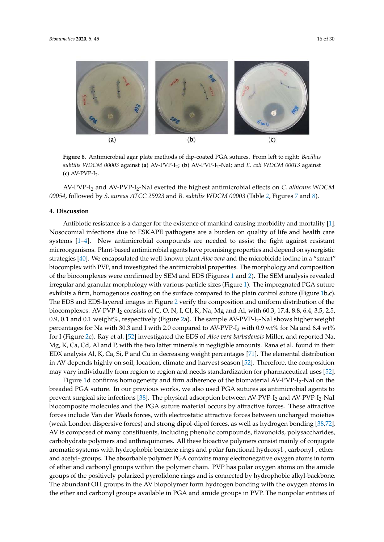

**Figure 8.** Antimicrobial agar plate methods of dip-coated PGA sutures. From left to right: *Bacillus subtilis WDCM 00003* against (**a**) AV-PVP-I<sup>2</sup> ; (**b**) AV-PVP-I<sup>2</sup> -NaI; and *E. coli WDCM 00013* against  $(c)$  AV-PVP- $I_2$ .

AV-PVP-I<sub>2</sub> and AV-PVP-I<sub>2</sub>-NaI exerted the highest antimicrobial effects on *C. albicans WDCM 00054,* followed by *S. aureus ATCC 25923* and *B. subtilis WDCM 00003* (Table 2, Figures 7 and 8).

#### **4. Discussion**

Antibiotic resistance is a danger for the existence of mankind causing morbidity and mortality [1]. Nosocomial infections due to ESKAPE pathogens are a burden on quality of life and health care systems [1–4]. New antimicrobial compounds are needed to assist the fight against resistant microorganisms. Plant-based antimicrobial agents have promising properties and depend on synergistic strategies [40]. We encapsulated the well-known plant *Aloe vera* and the microbicide iodine in a "smart" biocomplex with PVP, and investigated the antimicrobial properties. The morphology and composition of the biocomplexes were confirmed by SEM and EDS (Figures 1 and 2). The SEM analysis revealed irregular and granular morphology with various particle sizes (Figure 1). The impregnated PGA suture exhibits a firm, homogenous coating on the surface compared to the plain control suture (Figure 1b,c). The EDS and EDS-layered images in Figure 2 verify the composition and uniform distribution of the biocomplexes. AV-PVP-I<sub>2</sub> consists of C, O, N, I, Cl, K, Na, Mg and Al, with 60.3, 17.4, 8.8, 6.4, 3.5, 2.5, 0.9, 0.1 and 0.1 weight%, respectively (Figure 2a). The sample AV-PVP-I<sub>2</sub>-NaI shows higher weight percentages for Na with 30.3 and I with 2.0 compared to AV-PVP-I<sub>2</sub> with 0.9 wt% for Na and 6.4 wt% for I (Figure 2c). Ray et al. [52] investigated the EDS of *Aloe vera barbadensis* Miller, and reported Na, Mg, K, Ca, Cd, Al and P, with the two latter minerals in negligible amounts. Rana et al. found in their EDX analysis Al, K, Ca, Si, P and Cu in decreasing weight percentages [71]. The elemental distribution in AV depends highly on soil, location, climate and harvest season [52]. Therefore, the composition may vary individually from region to region and needs standardization for pharmaceutical uses [52].

Figure 1d confirms homogeneity and firm adherence of the biomaterial AV-PVP-I<sub>2</sub>-NaI on the breaded PGA suture. In our previous works, we also used PGA sutures as antimicrobial agents to prevent surgical site infections [38]. The physical adsorption between AV-PVP-I<sub>2</sub> and AV-PVP-I<sub>2</sub>-NaI biocomposite molecules and the PGA suture material occurs by attractive forces. These attractive forces include Van der Waals forces, with electrostatic attractive forces between uncharged moieties (weak London dispersive forces) and strong dipol-dipol forces, as well as hydrogen bonding [38,72]. AV is composed of many constituents, including phenolic compounds, flavonoids, polysaccharides, carbohydrate polymers and anthraquinones. All these bioactive polymers consist mainly of conjugate aromatic systems with hydrophobic benzene rings and polar functional hydroxyl-, carbonyl-, etherand acetyl- groups. The absorbable polymer PGA contains many electronegative oxygen atoms in form of ether and carbonyl groups within the polymer chain. PVP has polar oxygen atoms on the amide groups of the positively polarized pyrrolidone rings and is connected by hydrophobic alkyl-backbone. The abundant OH groups in the AV biopolymer form hydrogen bonding with the oxygen atoms in the ether and carbonyl groups available in PGA and amide groups in PVP. The nonpolar entities of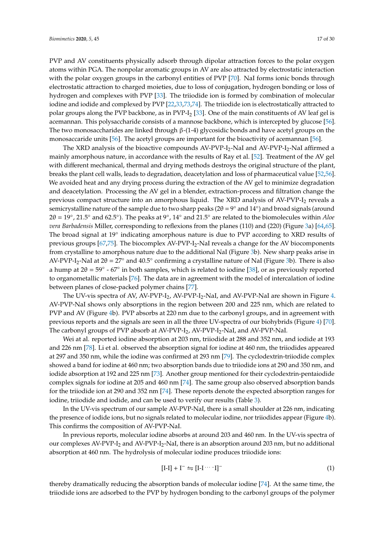PVP and AV constituents physically adsorb through dipolar attraction forces to the polar oxygen atoms within PGA. The nonpolar aromatic groups in AV are also attracted by electrostatic interaction with the polar oxygen groups in the carbonyl entities of PVP [70]. NaI forms ionic bonds through electrostatic attraction to charged moieties, due to loss of conjugation, hydrogen bonding or loss of hydrogen and complexes with PVP [33]. The triiodide ion is formed by combination of molecular iodine and iodide and complexed by PVP [22,33,73,74]. The triiodide ion is electrostatically attracted to polar groups along the PVP backbone, as in PVP-I<sub>2</sub> [33]. One of the main constituents of AV leaf gel is acemannan. This polysaccharide consists of a mannose backbone, which is intercepted by glucose [56]. The two monosaccharides are linked through  $\beta$ -(1-4) glycosidic bonds and have acetyl groups on the monosaccaride units [56]. The acetyl groups are important for the bioactivity of acemannan [56].

The XRD analysis of the bioactive compounds  $AV-PVP-I_2-NaI$  and  $AV-PVP-I_2-NaI$  affirmed a mainly amorphous nature, in accordance with the results of Ray et al. [52]. Treatment of the AV gel with different mechanical, thermal and drying methods destroys the original structure of the plant, breaks the plant cell walls, leads to degradation, deacetylation and loss of pharmaceutical value [52,56]. We avoided heat and any drying process during the extraction of the AV gel to minimize degradation and deacetylation. Processing the AV gel in a blender, extraction-process and filtration change the previous compact structure into an amorphous liquid. The XRD analysis of AV-PVP-I<sub>2</sub> reveals a semicrystalline nature of the sample due to two sharp peaks (2 $\theta$  = 9° and 14°) and broad signals (around  $2\theta = 19^\circ$ , 21.5° and 62.5°). The peaks at 9°, 14° and 21.5° are related to the biomolecules within *Aloe vera Barbadensis* Miller, corresponding to reflexions from the planes (110) and (220) (Figure 3a) [64,65]. The broad signal at 19° indicating amorphous nature is due to PVP according to XRD results of previous groups [67,75]. The biocomplex AV-PVP-I2-NaI reveals a change for the AV biocomponents from crystalline to amorphous nature due to the additional NaI (Figure 3b). New sharp peaks arise in AV-PVP-I<sub>2</sub>-NaI at  $2\theta = 27^\circ$  and  $40.5^\circ$  confirming a crystalline nature of NaI (Figure 3b). There is also a hump at  $2\theta = 59^\circ$  - 67 $^\circ$  in both samples, which is related to iodine [38], or as previously reported to organometallic materials [76]. The data are in agreement with the model of intercalation of iodine between planes of close-packed polymer chains [77].

The UV-vis spectra of AV, AV-PVP-I<sub>2</sub>, AV-PVP-I<sub>2</sub>-NaI, and AV-PVP-NaI are shown in Figure 4. AV-PVP-NaI shows only absorptions in the region between 200 and 225 nm, which are related to PVP and AV (Figure 4b). PVP absorbs at 220 nm due to the carbonyl groups, and in agreement with previous reports and the signals are seen in all the three UV-spectra of our biohybrids (Figure 4) [70]. The carbonyl groups of PVP absorb at AV-PVP-I<sub>2</sub>, AV-PVP-I<sub>2</sub>-NaI, and AV-PVP-NaI.

Wei at al. reported iodine absorption at 203 nm, triiodide at 288 and 352 nm, and iodide at 193 and 226 nm [78]. Li et al. observed the absorption signal for iodine at 460 nm, the triiodides appeared at 297 and 350 nm, while the iodine was confirmed at 293 nm [79]. The cyclodextrin-triiodide complex showed a band for iodine at 460 nm; two absorption bands due to triiodide ions at 290 and 350 nm, and iodide absorption at 192 and 225 nm [73]. Another group mentioned for their cyclodextrin-pentaiodide complex signals for iodine at 205 and 460 nm [74]. The same group also observed absorption bands for the triiodide ion at 290 and 352 nm [74]. These reports denote the expected absorption ranges for iodine, triiodide and iodide, and can be used to verify our results (Table 3).

In the UV-vis spectrum of our sample AV-PVP-NaI, there is a small shoulder at 226 nm, indicating the presence of iodide ions, but no signals related to molecular iodine, nor triiodides appear (Figure 4b). This confirms the composition of AV-PVP-NaI.

In previous reports, molecular iodine absorbs at around 203 and 460 nm. In the UV-vis spectra of our complexes AV-PVP-I<sub>2</sub> and AV-PVP-I<sub>2</sub>-NaI, there is an absorption around 203 nm, but no additional absorption at 460 nm. The hydrolysis of molecular iodine produces triiodide ions:

$$
[I-I] + I^- \leftrightharpoons [I-I \cdots I]^- \tag{1}
$$

thereby dramatically reducing the absorption bands of molecular iodine [74]. At the same time, the triiodide ions are adsorbed to the PVP by hydrogen bonding to the carbonyl groups of the polymer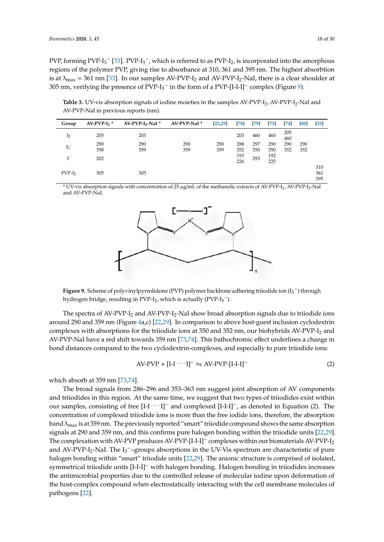PVP, forming PVP-I<sub>3</sub><sup>-</sup> [33]. PVP-I<sub>3</sub><sup>-</sup>, which is referred to as PVP-I<sub>2</sub>, is incorporated into the amorphous regions of the polymer PVP, giving rise to absorbance at 310, 361 and 395 nm. The highest absorbtion is at  $\lambda_{\text{max}} = 361$  nm [33]. In our samples AV-PVP-I<sub>2</sub> and AV-PVP-I<sub>2</sub>-NaI, there is a clear shoulder at 305 nm, verifying the presence of  $PVP-I_3^-$  in the form of a  $PVP-[I-I-I]^-$  complex (Figure 9).

**Table 3.** UV-vis absorption signals of iodine moieties in the samples AV-PVP-I<sub>2</sub>, AV-PVP-I<sub>2</sub>-NaI and AV-PVP-NaI in previous reports (nm).

| Group          | $AV-PVP-I_2$ | $AV-PVP-I_2-NaI*$ | AV-PVP-NaI <sup>*</sup> | [22, 29]   | $[78]$     | [79]       | $[73]$     | $[74]$     | [80]       | $[33]$            |
|----------------|--------------|-------------------|-------------------------|------------|------------|------------|------------|------------|------------|-------------------|
| I <sub>2</sub> | 205          | 203               |                         |            | 203        | 460        | 460        | 205<br>460 |            |                   |
| $I_3^-$        | 290<br>358   | 290<br>359        | 290<br>359              | 290<br>359 | 288<br>352 | 297<br>350 | 290<br>350 | 290<br>352 | 290<br>352 |                   |
| Ī.             | 202          |                   |                         |            | 193<br>226 | 293        | 192<br>225 |            |            |                   |
| $PVP-I2$       | 305          | 305               |                         |            |            |            |            |            |            | 310<br>361<br>395 |

\* UV-vis absorption signals with concentration of 25 µg/mL of the methanolic extracts of AV-PVP-I2, AV-PVP-I2-NaI and AV-PVP-NaI.



**Figure 9.** Scheme of polyvinylpyrrolidone (PVP) polymer backbone adhering triiodide ion (I<sub>3</sub><sup>−</sup>) through hydrogen bridge, resulting in PVP-I<sub>2</sub>, which is actually (PVP-I<sub>3</sub><sup>-</sup>).

The spectra of AV-PVP-I<sub>2</sub> and AV-PVP-I<sub>2</sub>-NaI show broad absorption signals due to triiodide ions around 290 and 359 nm (Figure 4a,c) [22,29]. In comparison to above host-guest inclusion cyclodextrin complexes with absorptions for the triiodide ions at 350 and 352 nm, our biohybrids AV-PVP-I<sup>2</sup> and AV-PVP-NaI have a red shift towards 359 nm [73,74]. This bathochromic effect underlines a change in bond distances compared to the two cyclodextrin-complexes, and especially to pure triiodide ions:

$$
AV-PVP + [I-I \cdots I]^- \leftrightharpoons AV-PVP - [I-I-I]^- \tag{2}
$$

which absorb at 359 nm [73,74].

The broad signals from 286–296 and 353–363 nm suggest joint absorption of AV components and triiodides in this region. At the same time, we suggest that two types of triiodides exist within our samples, consisting of free [I-I ... ...I]<sup>−</sup> and complexed [I-I-I]<sup>−</sup>, as denoted in Equation (2). The concentration of complexed triiodide ions is more than the free iodide ions, therefore, the absorption band  $\lambda_{\text{max}}$  is at 359 nm. The previously reported "smart" triiodide compound shows the same absorption signals at 290 and 359 nm, and this confirms pure halogen bonding within the triiodide units [22,29]. The complexation with AV-PVP produces AV-PVP-[I-I-I]<sup>−</sup> complexes within our biomaterials AV-PVP-I<sub>2</sub> and AV-PVP-I<sub>2</sub>-NaI. The I<sub>3</sub><sup>-</sup>-groups absorptions in the UV-Vis spectrum are characteristic of pure halogen bonding within "smart" triiodide units [22,29]. The anionic structure is comprised of isolated, symmetrical triiodide units [I-I-I]<sup>−</sup> with halogen bonding. Halogen bonding in triiodides increases the antimicrobial properties due to the controlled release of molecular iodine upon deformation of the host-complex compound when electrostatically interacting with the cell membrane molecules of pathogens [22].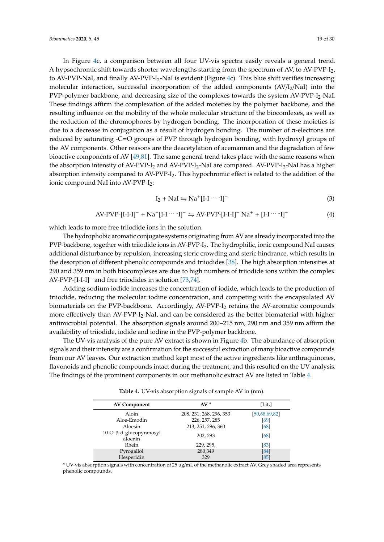In Figure 4c, a comparison between all four UV-vis spectra easily reveals a general trend. A hypsochromic shift towards shorter wavelengths starting from the spectrum of AV, to AV-PVP-I2, to AV-PVP-NaI, and finally AV-PVP-I<sub>2</sub>-NaI is evident (Figure 4c). This blue shift verifies increasing molecular interaction, successful incorporation of the added components (AV/I2/NaI) into the PVP-polymer backbone, and decreasing size of the complexes towards the system AV-PVP-I<sub>2</sub>-NaI. These findings affirm the complexation of the added moieties by the polymer backbone, and the resulting influence on the mobility of the whole molecular structure of the biocomlexes, as well as the reduction of the chromophores by hydrogen bonding. The incorporation of these moieties is due to a decrease in conjugation as a result of hydrogen bonding. The number of  $\pi$ -electrons are reduced by saturating -C=O groups of PVP through hydrogen bonding, with hydroxyl groups of the AV components. Other reasons are the deacetylation of acemannan and the degradation of few bioactive components of AV [49,81]. The same general trend takes place with the same reasons when the absorption intensity of AV-PVP-I<sub>2</sub> and AV-PVP-I<sub>2</sub>-NaI are compared. AV-PVP-I<sub>2</sub>-NaI has a higher absorption intensity compared to AV-PVP-I<sub>2</sub>. This hypochromic effect is related to the addition of the ionic compound NaI into AV-PVP-I<sub>2</sub>:

$$
I_2 + \text{NaI} \leftrightharpoons \text{Na}^+ [\text{I-I} \cdots \text{I}]^- \tag{3}
$$

$$
AV-PVP-[I-I-I]^- + Na^+[I-I^{...}I]^- \leftrightharpoons AV-PVP-[I-I-I]^- Na^+ + [I-I^{...}I]^-
$$
\n(4)

which leads to more free triiodide ions in the solution.

The hydrophobic aromatic conjugate systems originating from AV are already incorporated into the PVP-backbone, together with triiodide ions in AV-PVP-I<sub>2</sub>. The hydrophilic, ionic compound NaI causes additional disturbance by repulsion, increasing steric crowding and steric hindrance, which results in the desorption of different phenolic compounds and triiodides [38]. The high absorption intensities at 290 and 359 nm in both biocomplexes are due to high numbers of triiodide ions within the complex AV-PVP-[I-I-I]<sup>−</sup> and free triiodides in solution [73,74].

Adding sodium iodide increases the concentration of iodide, which leads to the production of triiodide, reducing the molecular iodine concentration, and competing with the encapsulated AV biomaterials on the PVP-backbone. Accordingly, AV-PVP-I<sup>2</sup> retains the AV-aromatic compounds more effectively than AV-PVP-I<sub>2</sub>-NaI, and can be considered as the better biomaterial with higher antimicrobial potential. The absorption signals around 200–215 nm, 290 nm and 359 nm affirm the availability of triiodide, iodide and iodine in the PVP-polymer backbone.

The UV-vis analysis of the pure AV extract is shown in Figure 4b. The abundance of absorption signals and their intensity are a confirmation for the successful extraction of many bioactive compounds from our AV leaves. Our extraction method kept most of the active ingredients like anthraquinones, flavonoids and phenolic compounds intact during the treatment, and this resulted on the UV analysis. The findings of the prominent components in our methanolic extract AV are listed in Table 4.

| $AV^*$                  | [Lit.]        |
|-------------------------|---------------|
| 208, 231, 268, 296, 353 | [50,68,69,82] |
| 226, 257, 285           | [69]          |
| 213, 251, 296, 360      | [68]          |
| 202.293                 | [68]          |
| 229, 295,               | [83]          |
| 280,349                 | [84]          |
| 329                     | [85]          |
|                         |               |

**Table 4.** UV-vis absorption signals of sample AV in (nm).

\* UV-vis absorption signals with concentration of 25 µg/mL of the methanolic extract AV. Grey shaded area represents phenolic compounds.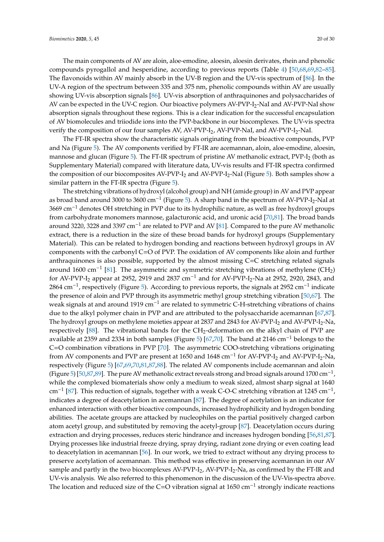The main components of AV are aloin, aloe-emodine, aloesin, aloesin derivates, rhein and phenolic compounds pyrogallol and hesperidine, according to previous reports (Table 4) [50,68,69,82–85]. The flavonoids within AV mainly absorb in the UV-B region and the UV-vis spectrum of [86]. In the UV-A region of the spectrum between 335 and 375 nm, phenolic compounds within AV are usually showing UV-vis absorption signals [86]. UV-vis absorption of anthraquinones and polysaccharides of AV can be expected in the UV-C region. Our bioactive polymers AV-PVP-I2-NaI and AV-PVP-NaI show absorption signals throughout these regions. This is a clear indication for the successful encapsulation of AV biomolecules and triiodide ions into the PVP-backbone in our biocomplexes. The UV-vis spectra verify the composition of our four samples AV, AV-PVP-I2, AV-PVP-NaI, and AV-PVP-I2-NaI.

The FT-IR spectra show the characteristic signals originating from the bioactive compounds, PVP and Na (Figure 5). The AV components verified by FT-IR are acemannan, aloin, aloe-emodine, aloesin, mannose and glucan (Figure 5). The FT-IR spectrum of pristine AV methanolic extract, PVP-I<sub>2</sub> (both as Supplementary Material) compared with literature data, UV-vis results and FT-IR spectra confirmed the composition of our biocomposites AV-PVP-I<sub>2</sub> and AV-PVP-I<sub>2</sub>-NaI (Figure 5). Both samples show a similar pattern in the FT-IR spectra (Figure 5).

The stretching vibrations of hydroxyl (alcohol group) and NH (amide group) in AV and PVP appear as broad band around 3000 to 3600 cm<sup>-1</sup> (Figure 5). A sharp band in the spectrum of AV-PVP-I<sub>2</sub>-NaI at 3669 cm−<sup>1</sup> denotes OH stretching in PVP due to its hydrophilic nature, as well as free hydroxyl groups from carbohydrate monomers mannose, galacturonic acid, and uronic acid [70,81]. The broad bands around 3220, 3228 and 3397 cm−<sup>1</sup> are related to PVP and AV [81]. Compared to the pure AV methanolic extract, there is a reduction in the size of these broad bands for hydroxyl groups (Supplementary Material). This can be related to hydrogen bonding and reactions between hydroxyl groups in AV components with the carbonyl C=O of PVP. The oxidation of AV components like aloin and further anthraquinones is also possible, supported by the almost missing C=C stretching related signals around 1600 cm<sup>-1</sup> [81]. The asymmetric and symmetric stretching vibrations of methylene (CH<sub>2</sub>) for AV-PVP-I<sub>2</sub> appear at 2952, 2919 and 2837 cm<sup>-1</sup> and for AV-PVP-I<sub>2</sub>-Na at 2952, 2920, 2843, and  $2864 \text{ cm}^{-1}$ , respectively (Figure 5). According to previous reports, the signals at 2952 cm $^{-1}$  indicate the presence of aloin and PVP through its asymmetric methyl group stretching vibration [50,67]. The weak signals at and around 1919 cm<sup>-1</sup> are related to symmetric C-H-stretching vibrations of chains due to the alkyl polymer chain in PVP and are attributed to the polysaccharide acemannan [67,87]. The hydroxyl groups on methylene moieties appear at 2837 and 2843 for AV-PVP-I<sub>2</sub> and AV-PVP-I<sub>2</sub>-Na, respectively [88]. The vibrational bands for the CH<sub>2</sub>-deformation on the alkyl chain of PVP are available at 2359 and 2334 in both samples (Figure 5) [67,70]. The band at 2146 cm−<sup>1</sup> belongs to the C=O combination vibrations in PVP [70]. The asymmetric COO-stretching vibrations originating from AV components and PVP are present at 1650 and  $1648 \text{ cm}^{-1}$  for AV-PVP-I<sub>2</sub> and AV-PVP-I<sub>2</sub>-Na, respectively (Figure 5) [67,69,70,81,87,88]. The related AV components include acemannan and aloin (Figure 5) [50,87,89]. The pure AV methanolic extract reveals strong and broad signals around 1700 cm<sup>-1</sup>, while the complexed biomaterials show only a medium to weak sized, almost sharp signal at 1640 cm<sup>-1</sup> [87]. This reduction of signals, together with a weak C-O-C stretching vibration at 1245 cm<sup>-1</sup>, indicates a degree of deacetylation in acemannan [87]. The degree of acetylation is an indicator for enhanced interaction with other bioactive compounds, increased hydrophilicity and hydrogen bonding abilities. The acetate groups are attacked by nucleophiles on the partial positively charged carbon atom acetyl group, and substituted by removing the acetyl-group [87]. Deacetylation occurs during extraction and drying processes, reduces steric hindrance and increases hydrogen bonding [56,81,87]. Drying processes like industrial freeze drying, spray drying, radiant zone drying or even coating lead to deacetylation in acemannan [56]. In our work, we tried to extract without any drying process to preserve acetylation of acemannan. This method was effective in preserving acemannan in our AV sample and partly in the two biocomplexes AV-PVP-I<sub>2</sub>, AV-PVP-I<sub>2</sub>-Na, as confirmed by the FT-IR and UV-vis analysis. We also referred to this phenomenon in the discussion of the UV-Vis-spectra above. The location and reduced size of the C=O vibration signal at 1650  $\text{cm}^{-1}$  strongly indicate reactions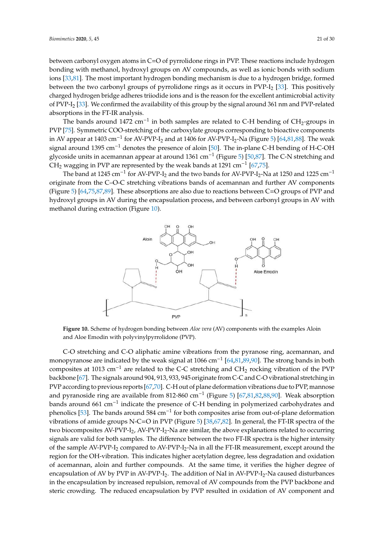between carbonyl oxygen atoms in C=O of pyrrolidone rings in PVP. These reactions include hydrogen bonding with methanol, hydroxyl groups on AV compounds, as well as ionic bonds with sodium ions [33,81]. The most important hydrogen bonding mechanism is due to a hydrogen bridge, formed between the two carbonyl groups of pyrrolidone rings as it occurs in  $PVP-I_2$  [33]. This positively charged hydrogen bridge adheres triiodide ions and is the reason for the excellent antimicrobial activity of PVP-I<sup>2</sup> [33]. We confirmed the availability of this group by the signal around 361 nm and PVP-related absorptions in the FT-IR analysis.

The bands around 1472 cm<sup>-1</sup> in both samples are related to C-H bending of CH<sub>2</sub>-groups in PVP [75]. Symmetric COO-stretching of the carboxylate groups corresponding to bioactive components in AV appear at 1403 cm<sup>-1</sup> for AV-PVP-I<sub>2</sub> and at 1406 for AV-PVP-I<sub>2</sub>-Na (Figure 5) [64,81,88]. The weak signal around 1395 cm<sup>-1</sup> denotes the presence of aloin [50]. The in-plane C-H bending of H-C-OH glycoside units in acemannan appear at around 1361 cm<sup>-1</sup> (Figure 5) [50,87]. The C-N stretching and CH<sub>2</sub> wagging in PVP are represented by the weak bands at 1291 cm<sup>-1</sup> [67,75].

The band at 1245 cm<sup>-1</sup> for AV-PVP-I<sub>2</sub> and the two bands for AV-PVP-I<sub>2</sub>-Na at 1250 and 1225 cm<sup>-1</sup> originate from the C–O-C stretching vibrations bands of acemannan and further AV components (Figure 5) [64,75,87,89]. These absorptions are also due to reactions between C=O groups of PVP and hydroxyl groups in AV during the encapsulation process, and between carbonyl groups in AV with methanol during extraction (Figure 10).



**Figure 10.** Scheme of hydrogen bonding between *Aloe vera* (AV) components with the examples Aloin and Aloe Emodin with polyvinylpyrrolidone (PVP).

C-O stretching and C-O aliphatic amine vibrations from the pyranose ring, acemannan, and monopyranose are indicated by the weak signal at 1066 cm<sup>-1</sup> [64,81,89,90]. The strong bands in both composites at 1013 cm−<sup>1</sup> are related to the C-C stretching and CH<sup>2</sup> rocking vibration of the PVP backbone [67]. The signals around 904, 913, 933, 945 originate from C-C and C-O vibrational stretching in PVP according to previous reports [67,70]. C-H out of plane deformation vibrations due to PVP, mannose and pyranoside ring are available from 812-860 cm<sup>-1</sup> (Figure 5) [67,81,82,88,90]. Weak absorption bands around 661 cm<sup>-1</sup> indicate the presence of C-H bending in polymerized carbohydrates and phenolics [53]. The bands around 584 cm<sup>-1</sup> for both composites arise from out-of-plane deformation vibrations of amide groups N-C=O in PVP (Figure 5) [38,67,82]. In general, the FT-IR spectra of the two biocomposites AV-PVP-I<sub>2</sub>, AV-PVP-I<sub>2</sub>-Na are similar, the above explanations related to occurring signals are valid for both samples. The difference between the two FT-IR spectra is the higher intensity of the sample AV-PVP-I<sub>2</sub> compared to AV-PVP-I<sub>2</sub>-Na in all the FT-IR measurement, except around the region for the OH-vibration. This indicates higher acetylation degree, less degradation and oxidation of acemannan, aloin and further compounds. At the same time, it verifies the higher degree of encapsulation of AV by PVP in AV-PVP-I<sub>2</sub>. The addition of NaI in AV-PVP-I<sub>2</sub>-Na caused disturbances in the encapsulation by increased repulsion, removal of AV compounds from the PVP backbone and steric crowding. The reduced encapsulation by PVP resulted in oxidation of AV component and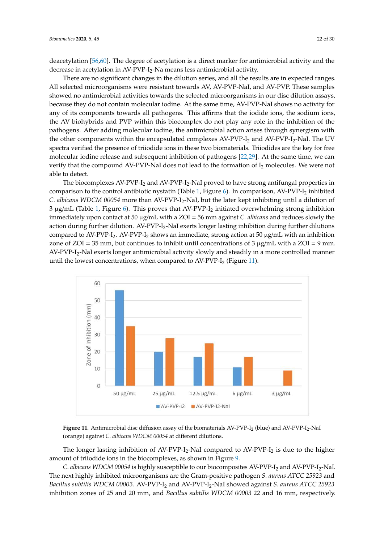deacetylation [56,60]. The degree of acetylation is a direct marker for antimicrobial activity and the decrease in acetylation in AV-PVP-I2-Na means less antimicrobial activity.

There are no significant changes in the dilution series, and all the results are in expected ranges. All selected microorganisms were resistant towards AV, AV-PVP-NaI, and AV-PVP. These samples showed no antimicrobial activities towards the selected microorganisms in our disc dilution assays, because they do not contain molecular iodine. At the same time, AV-PVP-NaI shows no activity for any of its components towards all pathogens. This affirms that the iodide ions, the sodium ions, the AV biohybrids and PVP within this biocomplex do not play any role in the inhibition of the pathogens. After adding molecular iodine, the antimicrobial action arises through synergism with the other components within the encapsulated complexes AV-PVP-I<sub>2</sub> and AV-PVP-I<sub>2</sub>-NaI. The UV spectra verified the presence of triiodide ions in these two biomaterials. Triiodides are the key for free molecular iodine release and subsequent inhibition of pathogens [22,29]. At the same time, we can verify that the compound AV-PVP-NaI does not lead to the formation of I<sub>2</sub> molecules. We were not able to detect.

The biocomplexes AV-PVP-I<sub>2</sub> and AV-PVP-I<sub>2</sub>-NaI proved to have strong antifungal properties in comparison to the control antibiotic nystatin (Table 1, Figure  $6$ ). In comparison, AV-PVP-I<sub>2</sub> inhibited *C. albicans WDCM 00054* more than AV-PVP-I2-NaI, but the later kept inhibiting until a dilution of  $3 \mu g/mL$  (Table 1, Figure 6). This proves that AV-PVP-I<sub>2</sub> initiated overwhelming strong inhibition immediately upon contact at 50 µg/mL with a ZOI = 56 mm against *C. albicans* and reduces slowly the action during further dilution. AV-PVP-I<sub>2</sub>-NaI exerts longer lasting inhibition during further dilutions compared to AV-PVP-I2. AV-PVP-I<sup>2</sup> shows an immediate, strong action at 50 µg/mL with an inhibition zone of ZOI = 35 mm, but continues to inhibit until concentrations of 3  $\mu$ g/mL with a ZOI = 9 mm. AV-PVP-I<sub>2</sub>-NaI exerts longer antimicrobial activity slowly and steadily in a more controlled manner until the lowest concentrations, when compared to  $AV-PVP-I<sub>2</sub>$  (Figure 11).



**Figure 11.** Antimicrobial disc diffusion assay of the biomaterials AV-PVP-I<sub>2</sub> (blue) and AV-PVP-I<sub>2</sub>-NaI (orange) against *C. albicans WDCM 00054* at different dilutions.

The longer lasting inhibition of  $AV-PVP-I_2-NaI$  compared to  $AV-PVP-I_2$  is due to the higher amount of triiodide ions in the biocomplexes, as shown in Figure 9.

*C. albicans WDCM 00054* is highly susceptible to our biocomposites AV-PVP-I<sub>2</sub> and AV-PVP-I<sub>2</sub>-NaI. The next highly inhibited microorganisms are the Gram-positive pathogen *S. aureus ATCC 25923* and *Bacillus subtilis WDCM 00003.* AV-PVP-I<sub>2</sub> and AV-PVP-I<sub>2</sub>-NaI showed against *S. aureus ATCC 25923* inhibition zones of 25 and 20 mm, and *Bacillus subtilis WDCM 00003* 22 and 16 mm, respectively.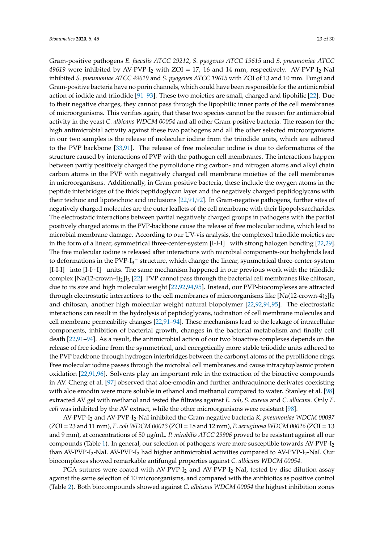Gram-positive pathogens *E. faecalis ATCC 29212*, *S. pyogenes ATCC 19615* and *S. pneumoniae ATCC* 49619 were inhibited by AV-PVP-I<sub>2</sub> with ZOI = 17, 16 and 14 mm, respectively. AV-PVP-I<sub>2</sub>-NaI inhibited *S. pneumoniae ATCC 49619* and *S. pyogenes ATCC 19615* with ZOI of 13 and 10 mm. Fungi and Gram-positive bacteria have no porin channels, which could have been responsible for the antimicrobial action of iodide and triiodide [91–93]. These two moieties are small, charged and lipohilic [22]. Due to their negative charges, they cannot pass through the lipophilic inner parts of the cell membranes of microorganisms. This verifies again, that these two species cannot be the reason for antimicrobial activity in the yeast *C. albicans WDCM 00054* and all other Gram-positive bacteria. The reason for the high antimicrobial activity against these two pathogens and all the other selected microorganisms in our two samples is the release of molecular iodine from the triiodide units, which are adhered to the PVP backbone [33,91]. The release of free molecular iodine is due to deformations of the structure caused by interactions of PVP with the pathogen cell membranes. The interactions happen between partly positively charged the pyrrolidone ring carbon- and nitrogen atoms and alkyl chain carbon atoms in the PVP with negatively charged cell membrane moieties of the cell membranes in microorganisms. Additionally, in Gram-positive bacteria, these include the oxygen atoms in the peptide interbridges of the thick peptidoglycan layer and the negatively charged peptidoglycans with their teichoic and lipoteichoic acid inclusions [22,91,92]. In Gram-negative pathogens, further sites of negatively charged molecules are the outer leaflets of the cell membrane with their lipopolysaccharides. The electrostatic interactions between partial negatively charged groups in pathogens with the partial positively charged atoms in the PVP-backbone cause the release of free molecular iodine, which lead to microbial membrane damage. According to our UV-vis analysis, the complexed triiodide moieties are in the form of a linear, symmetrical three-center-system [I-I-I]<sup>−</sup> with strong halogen bonding [22,29]. The free molecular iodine is released after interactions with microbial components-our biohybrids lead to deformations in the  $PVP-I_3^-$  structure, which change the linear, symmetrical three-center-system [I-I-I]<sup>−</sup> into [I-I···I]<sup>−</sup> units. The same mechanism happened in our previous work with the triiodide complex  $[Na(12-crown-4)_2]I_3$  [22]. PVP cannot pass through the bacterial cell membranes like chitosan, due to its size and high molecular weight [22,92,94,95]. Instead, our PVP-biocomplexes are attracted through electrostatic interactions to the cell membranes of microorganisms like  $[Na(12-crown-4)]I_3$ and chitosan, another high molecular weight natural biopolymer [22,92,94,95]. The electrostatic interactions can result in the hydrolysis of peptidoglycans, iodination of cell membrane molecules and cell membrane permeability changes [22,91–94]. These mechanisms lead to the leakage of intracellular components, inhibition of bacterial growth, changes in the bacterial metabolism and finally cell death [22,91–94]. As a result, the antimicrobial action of our two bioactive complexes depends on the release of free iodine from the symmetrical, and energetically more stable triiodide units adhered to the PVP backbone through hydrogen interbridges between the carbonyl atoms of the pyrollidone rings. Free molecular iodine passes through the microbial cell membranes and cause intracytoplasmic protein oxidation [22,91,96]. Solvents play an important role in the extraction of the bioactive compounds in AV. Cheng et al. [97] observed that aloe-emodin and further anthraquinone derivates coexisting with aloe emodin were more soluble in ethanol and methanol compared to water. Stanley et al. [98] extracted AV gel with methanol and tested the filtrates against *E. coli*, *S. aureus* and *C. albicans*. Only *E. coli* was inhibited by the AV extract, while the other microorganisms were resistant [98].

AV-PVP-I<sup>2</sup> and AV-PVP-I2-NaI inhibited the Gram-negative bacteria *K. pneumoniae WDCM 00097* (ZOI = 23 and 11 mm), *E. coli WDCM 00013* (ZOI = 18 and 12 mm), *P. aeruginosa WDCM 00026* (ZOI = 13 and 9 mm), at concentrations of 50 µg/mL. *P. mirabilis ATCC 29906* proved to be resistant against all our compounds (Table 1). In general, our selection of pathogens were more susceptible towards AV-PVP-I<sup>2</sup> than AV-PVP-I2-NaI. AV-PVP-I<sup>2</sup> had higher antimicrobial activities compared to AV-PVP-I2-NaI. Our biocomplexes showed remarkable antifungal properties against *C. albicans WDCM 00054*.

PGA sutures were coated with  $AV-PVP-I_2$  and  $AV-PVP-I_2-NaI$ , tested by disc dilution assay against the same selection of 10 microorganisms, and compared with the antibiotics as positive control (Table 2). Both biocompounds showed against *C. albicans WDCM 00054* the highest inhibition zones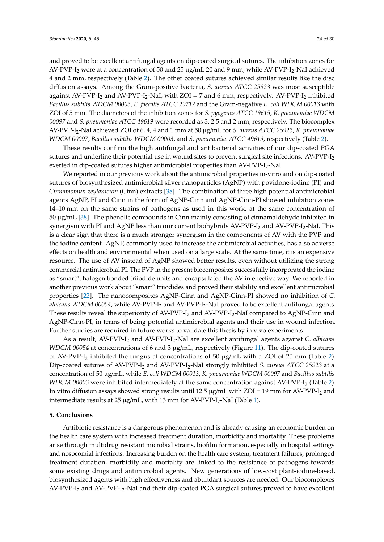and proved to be excellent antifungal agents on dip-coated surgical sutures. The inhibition zones for AV-PVP-I<sub>2</sub> were at a concentration of 50 and 25  $\mu$ g/mL 20 and 9 mm, while AV-PVP-I<sub>2</sub>-NaI achieved 4 and 2 mm, respectively (Table 2). The other coated sutures achieved similar results like the disc diffusion assays. Among the Gram-positive bacteria, *S. aureus ATCC 25923* was most susceptible against AV-PVP-I<sub>2</sub> and AV-PVP-I<sub>2</sub>-NaI, with ZOI = 7 and 6 mm, respectively. AV-PVP-I<sub>2</sub> inhibited *Bacillus subtilis WDCM 00003*, *E. faecalis ATCC 29212* and the Gram-negative *E. coli WDCM 00013* with ZOI of 5 mm. The diameters of the inhibition zones for *S. pyogenes ATCC 19615*, *K. pneumoniae WDCM 00097* and *S. pneumoniae ATCC 49619* were recorded as 3, 2.5 and 2 mm, respectively. The biocomplex AV-PVP-I2-NaI achieved ZOI of 6, 4, 4 and 1 mm at 50 µg/mL for *S. aureus ATCC 25923*, *K. pneumoniae WDCM 00097*, *Bacillus subtilis WDCM 00003*, and *S. pneumoniae ATCC 49619*, respectively (Table 2).

These results confirm the high antifungal and antibacterial activities of our dip-coated PGA sutures and underline their potential use in wound sites to prevent surgical site infections. AV-PVP-I<sup>2</sup> exerted in dip-coated sutures higher antimicrobial properties than AV-PVP-I<sub>2</sub>-NaI.

We reported in our previous work about the antimicrobial properties in-vitro and on dip-coated sutures of biosynthesized antimicrobial silver nanoparticles (AgNP) with povidone-iodine (PI) and *Cinnamomun zeylanicum* (Cinn) extracts [38]. The combination of three high potential antimicrobial agents AgNP, PI and Cinn in the form of AgNP-Cinn and AgNP-Cinn-PI showed inhibition zones 14–10 mm on the same strains of pathogens as used in this work, at the same concentration of 50 µg/mL [38]. The phenolic compounds in Cinn mainly consisting of cinnamaldehyde inhibited in synergism with PI and AgNP less than our current biohybrids AV-PVP-I<sub>2</sub> and AV-PVP-I<sub>2</sub>-NaI. This is a clear sign that there is a much stronger synergism in the components of AV with the PVP and the iodine content. AgNP, commonly used to increase the antimicrobial activities, has also adverse effects on health and environmental when used on a large scale. At the same time, it is an expensive resource. The use of AV instead of AgNP showed better results, even without utilizing the strong commercial antimicrobial PI. The PVP in the present biocomposites successfully incorporated the iodine as "smart", halogen bonded triiodide units and encapsulated the AV in effective way. We reported in another previous work about "smart" triiodides and proved their stability and excellent antimicrobial properties [22]. The nanocomposites AgNP-Cinn and AgNP-Cinn-PI showed no inhibition of *C.* albicans WDCM 00054, while AV-PVP-I<sub>2</sub> and AV-PVP-I<sub>2</sub>-NaI proved to be excellent antifungal agents. These results reveal the superiority of AV-PVP-I<sub>2</sub> and AV-PVP-I<sub>2</sub>-NaI compared to AgNP-Cinn and AgNP-Cinn-PI, in terms of being potential antimicrobial agents and their use in wound infection. Further studies are required in future works to validate this thesis by in vivo experiments.

As a result, AV-PVP-I<sup>2</sup> and AV-PVP-I2-NaI are excellent antifungal agents against *C. albicans WDCM 00054* at concentrations of 6 and 3 µg/mL, respectively (Figure 11). The dip-coated sutures of AV-PVP-I<sub>2</sub> inhibited the fungus at concentrations of 50  $\mu$ g/mL with a ZOI of 20 mm (Table 2). Dip-coated sutures of AV-PVP-I<sup>2</sup> and AV-PVP-I2-NaI strongly inhibited *S. aureus ATCC 25923* at a concentration of 50 µg/mL, while *E. coli WDCM 00013*, *K. pneumoniae WDCM 00097* and *Bacillus subtilis WDCM 00003* were inhibited intermediately at the same concentration against AV-PVP-I<sub>2</sub> (Table 2). In vitro diffusion assays showed strong results until 12.5  $\mu$ g/mL with ZOI = 19 mm for AV-PVP-I<sub>2</sub> and intermediate results at 25  $\mu$ g/mL, with 13 mm for AV-PVP-I<sub>2</sub>-NaI (Table 1).

## **5. Conclusions**

Antibiotic resistance is a dangerous phenomenon and is already causing an economic burden on the health care system with increased treatment duration, morbidity and mortality. These problems arise through multidrug resistant microbial strains, biofilm formation, especially in hospital settings and nosocomial infections. Increasing burden on the health care system, treatment failures, prolonged treatment duration, morbidity and mortality are linked to the resistance of pathogens towards some existing drugs and antimicrobial agents. New generations of low-cost plant-iodine-based, biosynthesized agents with high effectiveness and abundant sources are needed. Our biocomplexes AV-PVP-I<sub>2</sub> and AV-PVP-I<sub>2</sub>-NaI and their dip-coated PGA surgical sutures proved to have excellent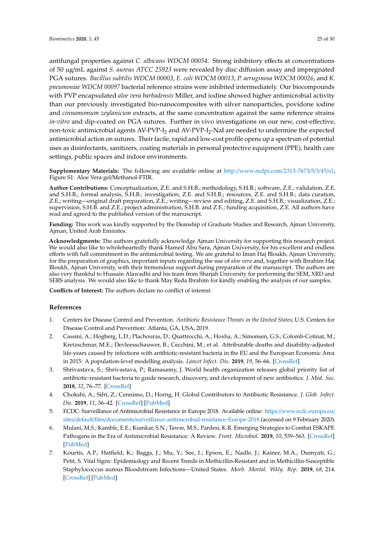antifungal properties against *C. albicans WDCM 00054*. Strong inhibitory effects at concentrations of 50 µg/mL against *S. aureus ATCC 25923* were revealed by disc diffusion assay and impregnated PGA sutures. *Bacillus subtilis WDCM 00003*, *E. coli WDCM 00013*, *P. aeruginosa WDCM 00026*, and *K. pneumoniae WDCM 00097* bacterial reference strains were inhibited intermediately. Our biocompounds with PVP encapsulated *aloe vera barbadensis* Miller, and iodine showed higher antimicrobial activity than our previously investigated bio-nanocomposites with silver nanoparticles, povidone iodine and *cinnamomum zeylanicum* extracts, at the same concentration against the same reference strains *in-vitro* and dip-coated on PGA sutures. Further in vivo investigations on our new, cost-effective, non-toxic antimicrobial agents AV-PVP-I<sub>2</sub> and AV-PVP-I<sub>2</sub>-NaI are needed to undermine the expected antimicrobial action on sutures. Their facile, rapid and low-cost profile opens up a spectrum of potential uses as disinfectants, sanitizers, coating materials in personal protective equipment (PPE), health care settings, public spaces and indoor environments.

**Supplementary Materials:** The following are available online at http://www.mdpi.com/2313-7673/5/3/45/s1, Figure S1: Aloe Vera gel/Methanol-FTIR.

**Author Contributions:** Conceptualization, Z.E. and S.H.B.; methodology, S.H.B.; software, Z.E.; validation, Z.E. and S.H.B.; formal analysis, S.H.B.; investigation, Z.E. and S.H.B.; resources, Z.E. and S.H.B.; data curation, Z.E.; writing—original draft preparation, Z.E.; writing—review and editing, Z.E. and S.H.B.; visualization, Z.E.; supervision, S.H.B. and Z.E.; project administration, S.H.B. and Z.E.; funding acquisition, Z.E. All authors have read and agreed to the published version of the manuscript.

**Funding:** This work was kindly supported by the Deanship of Graduate Studies and Research, Ajman University, Ajman, United Arab Emirates.

**Acknowledgments:** The authors gratefully acknowledge Ajman University for supporting this research project. We would also like to wholeheartedly thank Hamed Abu Sara, Ajman University, for his excellent and endless efforts with full commitment in the antimicrobial testing. We are grateful to Iman Haj Bloukh, Ajman University, for the preparation of graphics, important inputs regarding the use of *aloe vera* and, together with Ibrahim Haj Bloukh, Ajman University, with their tremendous support during preparation of the manuscript. The authors are also very thankful to Hussain Alawadhi and his team from Sharjah University for performing the SEM, XRD and SERS analysis. We would also like to thank May Reda Ibrahim for kindly enabling the analysis of our samples.

**Conflicts of Interest:** The authors declare no conflict of interest.

# **References**

- 1. Centers for Disease Control and Prevention. *Antibiotic Resistance Threats in the United States*; U.S. Centers for Disease Control and Prevention: Atlanta, GA, USA, 2019.
- 2. Cassini, A.; Hogberg, L.D.; Plachouras, D.; Quattrocchi, A.; Hoxha, A.; Simonsen, G.S.; Colomb-Cotinat, M.; Kretzschmar, M.E.; Devleesschauwer, B.; Cecchini, M.; et al. Attributable deaths and disability-adjusted life-years caused by infections with antibiotic-resistant bacteria in the EU and the European Economic Area in 2015: A population-level modelling analysis. *Lancet Infect. Dis.* **2019**, *19*, 56–66. [CrossRef]
- 3. Shrivastava, S.; Shrivastava, P.; Ramasamy, J. World health organization releases global priority list of antibiotic-resistant bacteria to guide research, discovery, and development of new antibiotics. *J. Med. Soc.* **2018**, *32*, 76–77. [CrossRef]
- 4. Chokshi, A.; Sifri, Z.; Cennimo, D.; Horng, H. Global Contributors to Antibiotic Resistance. *J. Glob. Infect. Dis.* **2019**, *11*, 36–42. [CrossRef] [PubMed]
- 5. ECDC: Surveillance of Antimicrobial Resistance in Europe 2018. Available online: https://www.ecdc.europa.eu/ sites/default/files/documents/surveillance-antimicrobial-resistance-Europe-2018 (accessed on 9 February 2020).
- 6. Mulani, M.S.; Kamble, E.E.; Kumkar, S.N.; Tawre, M.S.; Pardesi, K.R. Emerging Strategies to Combat ESKAPE Pathogens in the Era of Antimicrobial Resistance: A Review. *Front. Microbiol.* **2019**, *10*, 539–563. [CrossRef] [PubMed]
- 7. Kourtis, A.P.; Hatfield, K.; Baggs, J.; Mu, Y.; See, I.; Epson, E.; Nadle, J.; Kainer, M.A.; Dumyati, G.; Petit, S. Vital Signs: Epidemiology and Recent Trends in Methicillin-Resistant and in Methicillin-Susceptible Staphylococcus aureus Bloodstream Infections—United States. *Morb. Mortal. Wkly. Rep.* **2019**, *68*, 214. [CrossRef] [PubMed]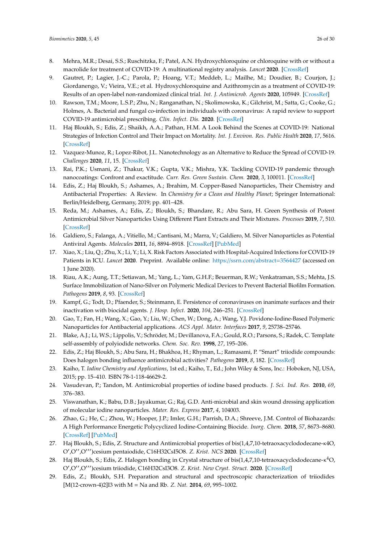- 8. Mehra, M.R.; Desai, S.S.; Ruschitzka, F.; Patel, A.N. Hydroxychloroquine or chloroquine with or without a macrolide for treatment of COVID-19: A multinational registry analysis. *Lancet* **2020**. [CrossRef]
- 9. Gautret, P.; Lagier, J.-C.; Parola, P.; Hoang, V.T.; Meddeb, L.; Mailhe, M.; Doudier, B.; Courjon, J.; Giordanengo, V.; Vieira, V.E.; et al. Hydroxychloroquine and Azithromycin as a treatment of COVID-19: Results of an open-label non-randomized clinical trial. *Int. J. Antimicrob. Agents* **2020**, 105949. [CrossRef]
- 10. Rawson, T.M.; Moore, L.S.P.; Zhu, N.; Ranganathan, N.; Skolimowska, K.; Gilchrist, M.; Satta, G.; Cooke, G.; Holmes, A. Bacterial and fungal co-infection in individuals with coronavirus: A rapid review to support COVID-19 antimicrobial prescribing. *Clin. Infect. Dis.* **2020**. [CrossRef]
- 11. Haj Bloukh, S.; Edis, Z.; Shaikh, A.A.; Pathan, H.M. A Look Behind the Scenes at COVID-19: National Strategies of Infection Control and Their Impact on Mortality. *Int. J. Environ. Res. Public Health* **2020**, *17*, 5616. [CrossRef]
- 12. Vazquez-Munoz, R.; Lopez-Ribot, J.L. Nanotechnology as an Alternative to Reduce the Spread of COVID-19. *Challenges* **2020**, *11*, 15. [CrossRef]
- 13. Rai, P.K.; Usmani, Z.; Thakur, V.K.; Gupta, V.K.; Mishra, Y.K. Tackling COVID-19 pandemic through nanocoatings: Confront and exactitude. *Curr. Res. Green Sustain. Chem.* **2020**, *3*, 100011. [CrossRef]
- 14. Edis, Z.; Haj Bloukh, S.; Ashames, A.; Ibrahim, M. Copper-Based Nanoparticles, Their Chemistry and Antibacterial Properties: A Review. In *Chemistry for a Clean and Healthy Planet*; Springer International: Berlin/Heidelberg, Germany, 2019; pp. 401–428.
- 15. Reda, M.; Ashames, A.; Edis, Z.; Bloukh, S.; Bhandare, R.; Abu Sara, H. Green Synthesis of Potent Antimicrobial Silver Nanoparticles Using Different Plant Extracts and Their Mixtures. *Processes* **2019**, *7*, 510. [CrossRef]
- 16. Galdiero, S.; Falanga, A.; Vitiello, M.; Cantisani, M.; Marra, V.; Galdiero, M. Silver Nanoparticles as Potential Antiviral Agents. *Molecules* **2011**, *16*, 8894–8918. [CrossRef] [PubMed]
- 17. Xiao, X.; Liu, Q.; Zhu, X.; Li, Y.; Li, X. Risk Factors Associated with Hospital-Acquired Infections for COVID-19 Patients in ICU. *Lancet* **2020**. Preprint. Available online: https://ssrn.com/abstract=3564427 (accessed on 1 June 2020).
- 18. Riau, A.K.; Aung, T.T.; Setiawan, M.; Yang, L.; Yam, G.H.F.; Beuerman, R.W.; Venkatraman, S.S.; Mehta, J.S. Surface Immobilization of Nano-Silver on Polymeric Medical Devices to Prevent Bacterial Biofilm Formation. *Pathogens* **2019**, *8*, 93. [CrossRef]
- 19. Kampf, G.; Todt, D.; Pfaender, S.; Steinmann, E. Persistence of coronaviruses on inanimate surfaces and their inactivation with biocidal agents. *J. Hosp. Infect.* **2020**, *104*, 246–251. [CrossRef]
- 20. Gao, T.; Fan, H.; Wang, X.; Gao, Y.; Liu, W.; Chen, W.; Dong, A.; Wang, Y.J. Povidone-Iodine-Based Polymeric Nanoparticles for Antibacterial applications. *ACS Appl. Mater. Interfaces* **2017**, *9*, 25738–25746.
- 21. Blake, A.J.; Li, W.S.; Lippolis, V.; Schröder, M.; Devillanova, F.A.; Gould, R.O.; Parsons, S.; Radek, C. Template self-assembly of polyiodide networks. *Chem. Soc. Rev.* **1998**, *27*, 195–206.
- 22. Edis, Z.; Haj Bloukh, S.; Abu Sara, H.; Bhakhoa, H.; Rhyman, L.; Ramasami, P. "Smart" triiodide compounds: Does halogen bonding influence antimicrobial activities? *Pathogens* **2019**, *8*, 182. [CrossRef]
- 23. Kaiho, T. *Iodine Chemistry and Applications*, 1st ed.; Kaiho, T., Ed.; John Wiley & Sons, Inc.: Hoboken, NJ, USA, 2015; pp. 15–410. ISBN 78-1-118-46629-2.
- 24. Vasudevan, P.; Tandon, M. Antimicrobial properties of iodine based products. *J. Sci. Ind. Res.* **2010**, *69*, 376–383.
- 25. Viswanathan, K.; Babu, D.B.; Jayakumar, G.; Raj, G.D. Anti-microbial and skin wound dressing application of molecular iodine nanoparticles. *Mater. Res. Express* **2017**, *4*, 104003.
- 26. Zhao, G.; He, C.; Zhou, W.; Hooper, J.P.; Imler, G.H.; Parrish, D.A.; Shreeve, J.M. Control of Biohazards: A High Performance Energetic Polycyclized Iodine-Containing Biocide. *Inorg. Chem.* **2018**, *57*, 8673–8680. [CrossRef] [PubMed]
- 27. Haj Bloukh, S.; Edis, Z. Structure and Antimicrobial properties of bis(1,4,7,10-tetraoxacyclododecane-κ4O, O′ ,O′′,O′′′)cesium pentaiodide, C16H32CsI5O8. *Z. Krist. NCS* **2020**. [CrossRef]
- 28. Haj Bloukh, S.; Edis, Z. Halogen bonding in Crystal structure of bis(1,4,7,10-tetraoxacyclododecane-κ <sup>4</sup>O, O′ ,O′′,O′′′)cesium triiodide, C16H32CsI3O8. *Z. Krist. New Cryst. Struct.* **2020**. [CrossRef]
- 29. Edis, Z.; Bloukh, S.H. Preparation and structural and spectroscopic characterization of triiodides [M(12-crown-4)2]I3 with M = Na and Rb. *Z. Nat.* **2014**, *69*, 995–1002.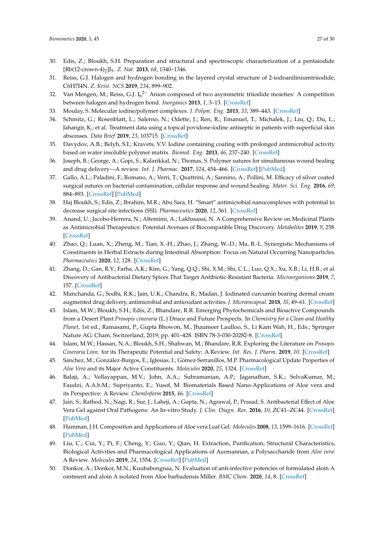- 30. Edis, Z.; Bloukh, S.H. Preparation and structural and spectroscopic characterization of a pentaiodide [Rb(12-crown-4)<sup>2</sup> ]I5 . *Z. Nat.* **2013**, *68*, 1340–1346.
- 31. Reiss, G.J. Halogen and hydrogen bonding in the layered crystal structure of 2-iodoaniliniumtriiodide, C6H7I4N. *Z. Krist. NCS* **2019**, *234*, 899–902.
- 32. Van Mengen, M.; Reiss, G.J.  $I_6^{2-}$  Anion composed of two asymmetric triiodide moieties: A competition between halogen and hydrogen bond. *Inorganics* **2013**, *1*, 3–13. [CrossRef]
- 33. Moulay, S. Molecular iodine/polymer complexes. *J. Polym. Eng.* **2013**, *33*, 389–443. [CrossRef]
- 34. Schmitz, G.; Rosenblatt, L.; Salerno, N.; Odette, J.; Ren, R.; Emanuel, T.; Michalek, J.; Liu, Q.; Du, L.; Jahangir, K.; et al. Treatment data using a topical povidone-iodine antiseptic in patients with superficial skin abscesses. *Data Brief* **2019**, *23*, 103715. [CrossRef]
- 35. Davydov, A.B.; Belyh, S.I.; Kravets, V.V. Iodine containing coating with prolonged antimicrobial activity based on water insoluble polymer matrix. *Biomed. Eng.* **2013**, *46*, 237–240. [CrossRef]
- 36. Joseph, B.; George, A.; Gopi, S.; Kalarikkal, N.; Thomas, S. Polymer sutures for simultaneous wound healing and drug delivery—A review. *Int. J. Pharmac.* **2017**, *524*, 454–466. [CrossRef] [PubMed]
- 37. Gallo, A.L.; Paladini, F.; Romano, A.; Verri, T.; Quattrini, A.; Sannino, A.; Pollini, M. Efficacy of silver coated surgical sutures on bacterial contamination, cellular response and wound healing. *Mater. Sci. Eng.* **2016**, *69*, 884–893. [CrossRef] [PubMed]
- 38. Haj Bloukh, S.; Edis, Z.; Ibrahim, M.R.; Abu Sara, H. "Smart" antimicrobial nanocomplexes with potential to decrease surgical site infections (SSI). *Pharmaceutics* **2020**, *12*, 361. [CrossRef]
- 39. Anand, U.; Jacobo-Herrera, N.; Altemimi, A.; Lakhssassi, N. A Comprehensive Review on Medicinal Plants as Antimicrobial Therapeutics: Potential Avenues of Biocompatible Drug Discovery. *Metabolites* **2019**, *9*, 258. [CrossRef]
- 40. Zhao, Q.; Luan, X.; Zheng, M.; Tian, X.-H.; Zhao, J.; Zhang, W.-D.; Ma, B.-L. Synergistic Mechanisms of Constituents in Herbal Extracts during Intestinal Absorption: Focus on Natural Occurring Nanoparticles. *Pharmaceutics* **2020**, *12*, 128. [CrossRef]
- 41. Zhang, D.; Gan, R.Y.; Farha, A.K.; Kim, G.; Yang, Q.Q.; Shi, X.M.; Shi, C.L.; Luo, Q.X.; Xu, X.B.; Li, H.B.; et al. Discovery of Antibacterial Dietary Spices That Target Antibiotic-Resistant Bacteria. *Microorganisms* **2019**, *7*, 157. [CrossRef]
- 42. Manchanda, G.; Sodhi, R.K.; Jain, U.K.; Chandra, R.; Madan, J. Iodinated curcumin bearing dermal cream augmented drug delivery, antimicrobial and antioxidant activities. *J. Microencapsul.* **2018**, *35*, 49–61. [CrossRef]
- 43. Islam, M.W.; Bloukh, S.H.; Edis, Z.; Bhandare, R.R. Emerging Phytochemicals and Bioactive Compounds from a Desert Plant *Prosopis cineraria* (L.) Druce and Future Prospects. In *Chemistry for a Clean and Healthy Planet*, 1st ed.; Ramasami, P., Gupta Bhowon, M., Jhaumeer Laulloo, S., Li Kam Wah, H., Eds.; Springer Nature AG: Cham, Switzerland, 2019; pp. 401–428. ISBN 78-3-030-20282-8. [CrossRef]
- 44. Islam, M.W.; Hassan, N.A.; Bloukh, S.H.; Shahwan, M.; Bhandare, R.R. Exploring the Literature on *Prosopis Cineraria Linn.* for its Therapeutic Potential and Safety: A Review. *Int. Res. J. Pharm.* **2019**, *10*. [CrossRef]
- 45. Sánchez, M.; González-Burgos, E.; Iglesias, I.; Gómez-Serranillos, M.P. Pharmacological Update Properties of *Aloe Vera* and its Major Active Constituents. *Molecules* **2020**, *25*, 1324. [CrossRef]
- 46. Balaji, A.; Vellayappan, M.V.; John, A.A.; Subramanian, A.P.; Jaganathan, S.K.; SelvaKumar, M.; Faudzi, A.A.b.M.; Supriyanto, E.; Yusof, M. Biomaterials Based Nano-Applications of Aloe vera and its Perspective: A Review. *ChemInform* **2015**, *46*. [CrossRef]
- 47. Jain, S.; Rathod, N.; Nagi, R.; Sur, J.; Laheji, A.; Gupta, N.; Agrawal, P.; Prasad, S. Antibacterial Effect of Aloe Vera Gel against Oral Pathogens: An In-vitro Study. *J. Clin. Diagn. Res.* **2016**, *10*, ZC41–ZC44. [CrossRef] [PubMed]
- 48. Hamman, J.H. Composition and Applications of Aloe vera Leaf Gel. *Molecules* **2008**, *13*, 1599–1616. [CrossRef] [PubMed]
- 49. Liu, C.; Cui, Y.; Pi, F.; Cheng, Y.; Guo, Y.; Qian, H. Extraction, Purification, Structural Characteristics, Biological Activities and Pharmacological Applications of Acemannan, a Polysaccharide from *Aloe vera*: A Review. *Molecules* **2019**, *24*, 1554. [CrossRef] [PubMed]
- 50. Donkor, A.; Donkor, M.N.; Kuubabongnaa, N. Evaluation of anti-infective potencies of formulated aloin A ointment and aloin A isolated from Aloe barbadensis Miller. *BMC Chem.* **2020**, *14*, 8. [CrossRef]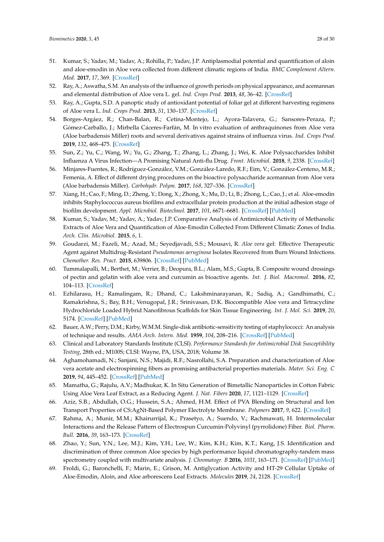- 51. Kumar, S.; Yadav, M.; Yadav, A.; Rohilla, P.; Yadav, J.P. Antiplasmodial potential and quantification of aloin and aloe-emodin in Aloe vera collected from different climatic regions of India. *BMC Complement Altern. Med.* **2017**, *17*, 369. [CrossRef]
- 52. Ray, A.; Aswatha, S.M. An analysis of the influence of growth periods on physical appearance, and acemannan and elemental distribution of Aloe vera L. gel. *Ind. Crops Prod.* **2013**, *48*, 36–42. [CrossRef]
- 53. Ray, A.; Gupta, S.D. A panoptic study of antioxidant potential of foliar gel at different harvesting regimens of Aloe vera L. *Ind. Crops Prod.* **2013**, *51*, 130–137. [CrossRef]
- 54. Borges-Argáez, R.; Chan-Balan, R.; Cetina-Montejo, L.; Ayora-Talavera, G.; Sansores-Peraza, P.; Gómez-Carballo, J.; Mirbella Cáceres-Farfán, M. In vitro evaluation of anthraquinones from Aloe vera (Aloe barbadensis Miller) roots and several derivatives against strains of influenza virus. *Ind. Crops Prod.* **2019**, *132*, 468–475. [CrossRef]
- 55. Sun, Z.; Yu, C.; Wang, W.; Yu, G.; Zhang, T.; Zhang, L.; Zhang, J.; Wei, K. Aloe Polysaccharides Inhibit Influenza A Virus Infection—A Promising Natural Anti-flu Drug. *Front. Microbiol.* **2018**, *9*, 2338. [CrossRef]
- 56. Minjares-Fuentes, R.; Rodríguez-González, V.M.; González-Laredo, R.F.; Eim, V.; González-Centeno, M.R.; Femenia, A. Effect of different drying procedures on the bioactive polysaccharide acemannan from Aloe vera (Aloe barbadensis Miller). *Carbohydr. Polym.* **2017**, *168*, 327–336. [CrossRef]
- 57. Xiang, H.; Cao, F.; Ming, D.; Zheng, Y.; Dong, X.; Zhong, X.; Mu, D.; Li, B.; Zhong, L.; Cao, J.; et al. Aloe-emodin inhibits Staphylococcus aureus biofilms and extracellular protein production at the initial adhesion stage of biofilm development. *Appl. Microbiol. Biotechnol.* **2017**, *101*, 6671–6681. [CrossRef] [PubMed]
- 58. Kumar, S.; Yadav, M.; Yadav, A.; Yadav, J.P. Comparative Analysis of Antimicrobial Activity of Methanolic Extracts of Aloe Vera and Quantification of Aloe-Emodin Collected From Different Climatic Zones of India. *Arch. Clin. Microbiol.* **2015**, *6*, 1.
- 59. Goudarzi, M.; Fazeli, M.; Azad, M.; Seyedjavadi, S.S.; Mousavi, R. *Aloe vera* gel: Effective Therapeutic Agent against Multidrug-Resistant *Pseudomonas aeruginosa* Isolates Recovered from Burn Wound Infections. *Chemother. Res. Pract.* **2015**, 639806. [CrossRef] [PubMed]
- 60. Tummalapalli, M.; Berthet, M.; Verrier, B.; Deopura, B.L.; Alam, M.S.; Gupta, B. Composite wound dressings of pectin and gelatin with aloe vera and curcumin as bioactive agents. *Int. J. Biol. Macromol.* **2016**, *82*, 104–113. [CrossRef]
- 61. Ezhilarasu, H.; Ramalingam, R.; Dhand, C.; Lakshminarayanan, R.; Sadiq, A.; Gandhimathi, C.; Ramakrishna, S.; Bay, B.H.; Venugopal, J.R.; Srinivasan, D.K. Biocompatible Aloe vera and Tetracycline Hydrochloride Loaded Hybrid Nanofibrous Scaffolds for Skin Tissue Engineering. *Int. J. Mol. Sci.* **2019**, *20*, 5174. [CrossRef] [PubMed]
- 62. Bauer, A.W.; Perry, D.M.; Kirby, W.M.M. Single-disk antibiotic-sensitivity testing of staphylococci: An analysis of technique and results. *AMA Arch. Intern. Med.* **1959**, *104*, 208–216. [CrossRef] [PubMed]
- 63. Clinical and Laboratory Standards Institute (CLSI). *Performance Standards for Antimicrobial Disk Susceptibility Testing*, 28th ed.; M100S; CLSI: Wayne, PA, USA, 2018; Volume 38.
- 64. Aghamohamadi, N.; Sanjani, N.S.; Majidi, R.F.; Nasrollahi, S.A. Preparation and characterization of Aloe vera acetate and electrospinning fibers as promising antibacterial properties materials. *Mater. Sci. Eng. C* **2019**, *94*, 445–452. [CrossRef] [PubMed]
- 65. Mamatha, G.; Rajulu, A.V.; Madhukar, K. In Situ Generation of Bimetallic Nanoparticles in Cotton Fabric Using Aloe Vera Leaf Extract, as a Reducing Agent. *J. Nat. Fibers* **2020**, *17*, 1121–1129. [CrossRef]
- 66. Aziz, S.B.; Abdullah, O.G.; Hussein, S.A.; Ahmed, H.M. Effect of PVA Blending on Structural and Ion Transport Properties of CS:AgNt-Based Polymer Electrolyte Membrane. *Polymers* **2017**, *9*, 622. [CrossRef]
- 67. Rahma, A.; Munir, M.M.; Khairurrijal, K.; Prasetyo, A.; Suendo, V.; Rachmawati, H. Intermolecular Interactions and the Release Pattern of Electrospun Curcumin-Polyvinyl (pyrrolidone) Fiber. *Biol. Pharm. Bull.* **2016**, *39*, 163–173. [CrossRef]
- 68. Zhao, Y.; Sun, Y.N.; Lee, M.J.; Kim, Y.H.; Lee, W.; Kim, K.H.; Kim, K.T.; Kang, J.S. Identification and discrimination of three common Aloe species by high performance liquid chromatography-tandem mass spectrometry coupled with multivariate analysis. *J. Chromatogr. B* **2016**, *1031*, 163–171. [CrossRef] [PubMed]
- 69. Froldi, G.; Baronchelli, F.; Marin, E.; Grison, M. Antiglycation Activity and HT-29 Cellular Uptake of Aloe-Emodin, Aloin, and Aloe arborescens Leaf Extracts. *Molecules* **2019**, *24*, 2128. [CrossRef]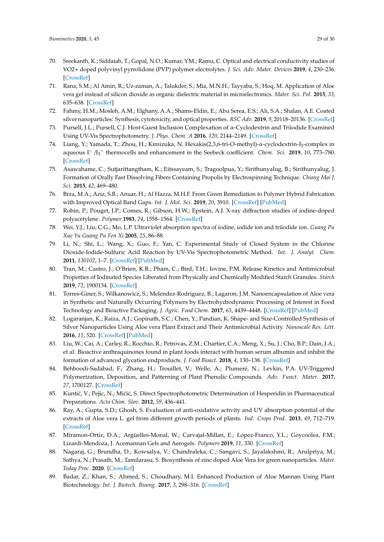- 70. Sreekanth, K.; Siddaiah, T.; Gopal, N.O.; Kumar, Y.M.; Ramu, C. Optical and electrical conductivity studies of VO2+ doped polyvinyl pyrrolidone (PVP) polymer electrolytes. *J. Sci. Adv. Mater. Devices* **2019**, *4*, 230–236. [CrossRef]
- 71. Rana, S.M.; Al Amin, R.; Uz-zaman, A.; Talukder, S.; Mia, M.N.H.; Tayyaba, S.; Hoq, M. Application of Aloe vera gel instead of silicon dioxide as organic dielectric material in microelectronics. *Mater. Sci. Pol.* **2015**, *33*, 635–638. [CrossRef]
- 72. Fahmy, H.M.; Mosleh, A.M.; Elghany, A.A.; Shams-Eldin, E.; Abu Serea, E.S.; Ali, S.A.; Shalan, A.E. Coated silver nanoparticles: Synthesis, cytotoxicity, and optical properties. *RSC Adv.* **2019**, *9*, 20118–20136. [CrossRef]
- 73. Pursell, J.L.; Pursell, C.J. Host-Guest Inclusion Complexation of α-Cyclodextrin and Triiodide Examined Using UV-Vis Spectrophotometry. *J. Phys. Chem. A* **2016**, *120*, 2144–2149. [CrossRef]
- 74. Liang, Y.; Yamada, T.; Zhou, H.; Kimizuka, N. Hexakis(2,3,6-tri-O-methyl)-α-cyclodextrin-I<sup>5</sup> -complex in aqueous I<sup>−</sup> /I<sup>3</sup> <sup>−</sup> thermocells and enhancement in the Seebeck coefficient. *Chem. Sci.* **2019**, *10*, 773–780. [CrossRef]
- 75. Asawahame, C.; Sutjarittangtham, K.; Eitssayeam, S.; Tragoolpua, Y.; Sirithunyalug, B.; Sirithunyalug, J. Formation of Orally Fast Dissolving Fibers Containing Propolis by Electrospinning Technique. *Chiang Mai J. Sci.* **2015**, *42*, 469–480.
- 76. Brza, M.A.; Aziz, S.B.; Anuar, H.; Al Hazza, M.H.F. From Green Remediation to Polymer Hybrid Fabrication with Improved Optical Band Gaps. *Int. J. Mol. Sci.* **2019**, *20*, 3910. [CrossRef] [PubMed]
- 77. Robin, P.; Pouget, J.P.; Comes, R.; Gibson, H.W.; Epstein, A.J. X-ray diffraction studies of iodine-doped polyacetylene. *Polymer* **1983**, *24*, 1558–1564. [CrossRef]
- 78. Wei, Y.J.; Liu, C.G.; Mo, L.P. Ultraviolet absorption spectra of iodine, iodide ion and triiodide ion. *Guang Pu Xue Yu Guang Pu Fen Xi* **2005**, *25*, 86–88.
- 79. Li, N.; Shi, L.; Wang, X.; Guo, F.; Yan, C. Experimental Study of Closed System in the Chlorine Dioxide-Iodide-Sulfuric Acid Reaction by UV-Vis Spectrophotometric Method. *Int. J. Analyt. Chem.* **2011**, *130102*, 1–7. [CrossRef] [PubMed]
- 80. Tran, M.; Castro, J.; O'Brien, K.R.; Pham, C.; Bird, T.H.; Iovine, P.M. Release Kinetics and Antimicrobial Properties of Iodinated Species Liberated from Physically and Chemically Modified Starch Granules. *Starch* **2019**, *72*, 1900134. [CrossRef]
- 81. Torres-Giner, S.; Wilkanowicz, S.; Melendez-Rodriguez, B.; Lagaron, J.M. Nanoencapsulation of Aloe vera in Synthetic and Naturally Occurring Polymers by Electrohydrodynamic Processing of Interest in Food Technology and Bioactive Packaging. *J. Agric. Food Chem.* **2017**, *65*, 4439–4448. [CrossRef] [PubMed]
- 82. Logaranjan, K.; Raiza, A.J.; Gopinath, S.C.; Chen, Y.; Pandian, K. Shape- and Size-Controlled Synthesis of Silver Nanoparticles Using Aloe vera Plant Extract and Their Antimicrobial Activity. *Nanoscale Res. Lett.* **2016**, *11*, 520. [CrossRef] [PubMed]
- 83. Liu, W.; Cai, A.; Carley, R.; Rocchio, R.; Petrovas, Z.M.; Chartier, C.A.; Meng, X.; Su, J.; Cho, B.P.; Dain, J.A.; et al. Bioactive anthraquinones found in plant foods interact with human serum albumin and inhibit the formation of advanced glycation endproducts. *J. Food Bioact.* **2018**, *4*, 130–138. [CrossRef]
- 84. Behboodi-Sadabad, F.; Zhang, H.; Trouillet, V.; Welle, A.; Plumeré, N.; Levkin, P.A. UV-Triggered Polymerization, Deposition, and Patterning of Plant Phenolic Compounds. *Adv. Funct. Mater.* **2017**, *27*, 1700127. [CrossRef]
- 85. Kuntić, V.; Pejic, N.; Mićić, S. Direct Spectrophotometric Determination of Hesperidin in Pharmaceutical Preparations. *Acta Chim. Slov.* **2012**, *59*, 436–441.
- 86. Ray, A.; Gupta, S.D.; Ghosh, S. Evaluation of anti-oxidative activity and UV absorption potential of the extracts of Aloe vera L. gel from different growth periods of plants. *Ind. Crops Prod.* **2013**, *49*, 712–719. [CrossRef]
- 87. Miramon-Ortíz, D.A.; Argüelles-Monal, W.; Carvajal-Millan, E.; López-Franco, Y.L.; Goycoolea, F.M.; Lizardi-Mendoza, J. Acemannan Gels and Aerogels. *Polymers* **2019**, *11*, 330. [CrossRef]
- 88. Nagaraj, G.; Brundha, D.; Kowsalya, V.; Chandraleka, C.; Sangavi, S.; Jayalakshmi, R.; Arulpriya, M.; Sathya, N.; Prasath, M.; Tamilarasu, S. Biosynthesis of zinc doped Aloe Vera for green nanoparticles. *Mater. Today Proc.* **2020**. [CrossRef]
- 89. Badar, Z.; Khan, S.; Ahmed, S.; Choudhary, M.I. Enhanced Production of Aloe Mannan Using Plant Biotechnology. *Int. J. Biotech. Bioeng.* **2017**, *3*, 298–316. [CrossRef]